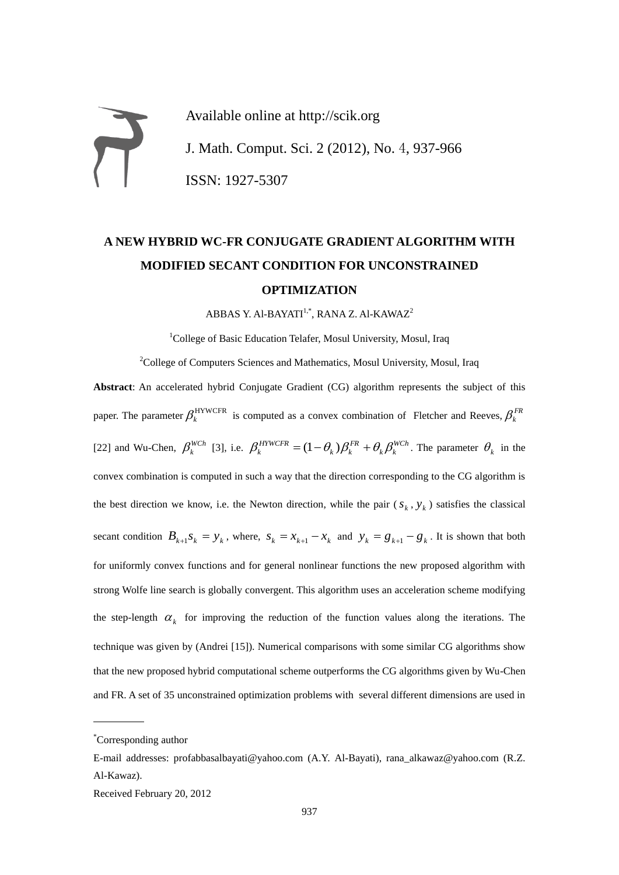Available online at http://scik.org J. Math. Comput. Sci. 2 (2012), No. 4, 937-966 ISSN: 1927-5307

# **A NEW HYBRID WC-FR CONJUGATE GRADIENT ALGORITHM WITH MODIFIED SECANT CONDITION FOR UNCONSTRAINED OPTIMIZATION**

ABBAS Y. Al-BAYATI<sup>1,\*</sup>, RANA Z. Al-KAWAZ<sup>2</sup>

<sup>1</sup>College of Basic Education Telafer, Mosul University, Mosul, Iraq <sup>2</sup>College of Computers Sciences and Mathematics, Mosul University, Mosul, Iraq

**Abstract**: An accelerated hybrid Conjugate Gradient (CG) algorithm represents the subject of this paper. The parameter  $\beta_k^{\text{HYWCFR}}$  is computed as a convex combination of Fletcher and Reeves,  $\beta_k^{FR}$ [22] and Wu-Chen,  $\beta_k^{WCh}$  [3], i.e.  $\beta_k^{HIWCFR} = (1 - \theta_k) \beta_k^{FR} + \theta_k \beta_k^{WCh}$ *k k FR*  $\beta_k^{HYWCFR} = (1 - \theta_k) \beta_k^{FR} + \theta_k \beta_k^{WCh}$ . The parameter  $\theta_k$  in the convex combination is computed in such a way that the direction corresponding to the CG algorithm is the best direction we know, i.e. the Newton direction, while the pair  $(s_k, y_k)$  satisfies the classical secant condition  $B_{k+1}S_k = y_k$ , where,  $S_k = x_{k+1} - x_k$  and  $y_k = g_{k+1} - g_k$ . It is shown that both for uniformly convex functions and for general nonlinear functions the new proposed algorithm with strong Wolfe line search is globally convergent. This algorithm uses an acceleration scheme modifying the step-length  $\alpha_k$  for improving the reduction of the function values along the iterations. The technique was given by (Andrei [15]). Numerical comparisons with some similar CG algorithms show that the new proposed hybrid computational scheme outperforms the CG algorithms given by Wu-Chen and FR. A set of 35 unconstrained optimization problems with several different dimensions are used in

 $\overline{a}$ 

<sup>\*</sup>Corresponding author

E-mail addresses: profabbasalbayati@yahoo.com (A.Y. Al-Bayati), rana\_alkawaz@yahoo.com (R.Z. Al-Kawaz).

Received February 20, 2012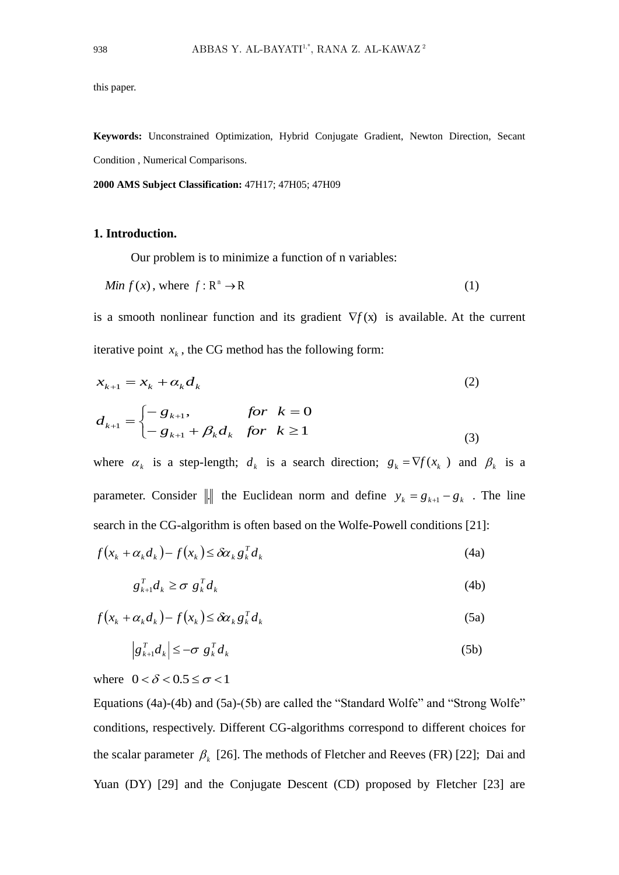this paper.

**Keywords:** Unconstrained Optimization, Hybrid Conjugate Gradient, Newton Direction, Secant Condition , Numerical Comparisons.

**2000 AMS Subject Classification:** 47H17; 47H05; 47H09

#### **1. Introduction.**

Our problem is to minimize a function of n variables:

$$
Min f(x), where f: \mathbb{R}^n \to \mathbb{R}
$$
 (1)

is a smooth nonlinear function and its gradient  $\nabla f(x)$  is available. At the current iterative point  $x_k$ , the CG method has the following form:

$$
x_{k+1} = x_k + a_k d_k \tag{2}
$$

$$
d_{k+1} = \begin{cases} -g_{k+1}, & \text{for } k = 0\\ -g_{k+1} + \beta_k d_k & \text{for } k \ge 1 \end{cases}
$$
(3)

where  $\alpha_k$  is a step-length;  $d_k$  is a search direction;  $g_k = \nabla f(x_k)$  and  $\beta_k$  is a parameter. Consider  $\|\cdot\|$  the Euclidean norm and define  $y_k = g_{k+1} - g_k$ . The line search in the CG-algorithm is often based on the Wolfe-Powell conditions [21]:

$$
f(x_k + \alpha_k d_k) - f(x_k) \leq \delta \alpha_k g_k^T d_k
$$
\n(4a)

$$
g_{k+1}^T d_k \ge \sigma \ g_k^T d_k \tag{4b}
$$

$$
f(x_k + \alpha_k d_k) - f(x_k) \leq \delta \alpha_k g_k^T d_k
$$
\n(5a)

$$
\left|g_{k+1}^T d_k\right| \leq -\sigma \left|g_k^T d_k\right| \tag{5b}
$$

where  $0 < \delta < 0.5 \leq \sigma < 1$ 

Equations (4a)-(4b) and (5a)-(5b) are called the "Standard Wolfe" and "Strong Wolfe" conditions, respectively. Different CG-algorithms correspond to different choices for the scalar parameter  $\beta_k$  [26]. The methods of Fletcher and Reeves (FR) [22]; Dai and Yuan (DY) [29] and the Conjugate Descent (CD) proposed by Fletcher [23] are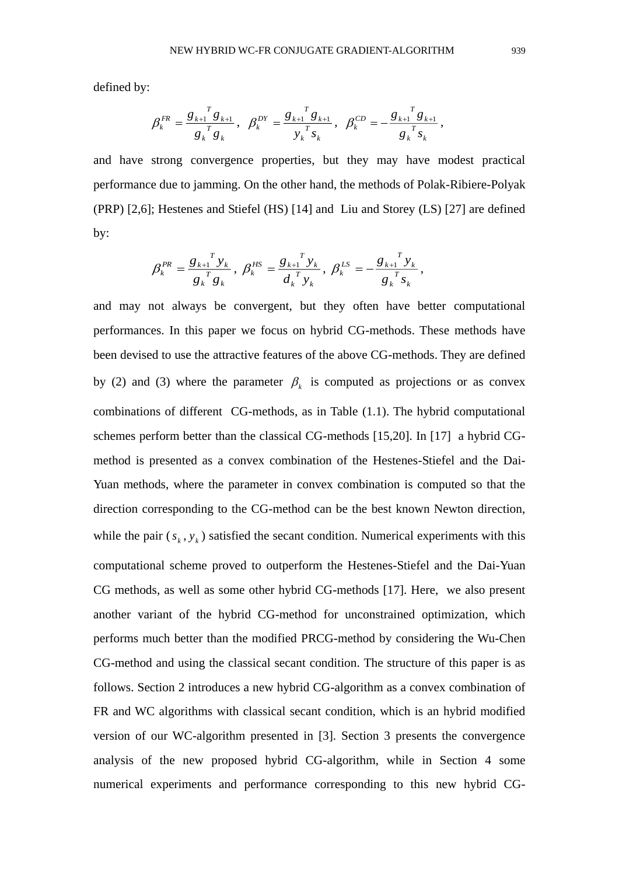defined by:

$$
\beta_k^{FR} = \frac{g_{k+1}^{T} g_{k+1}}{g_k^{T} g_k}, \ \ \beta_k^{DY} = \frac{g_{k+1}^{T} g_{k+1}}{y_k^{T} s_k}, \ \ \beta_k^{CD} = -\frac{g_{k+1}^{T} g_{k+1}}{g_k^{T} s_k},
$$

and have strong convergence properties, but they may have modest practical performance due to jamming. On the other hand, the methods of Polak-Ribiere-Polyak (PRP) [2,6]; Hestenes and Stiefel (HS) [14] and Liu and Storey (LS) [27] are defined by:

$$
\beta_k^{PR} = \frac{g_{k+1}^{T} y_k}{g_k^{T} g_k}, \ \beta_k^{HS} = \frac{g_{k+1}^{T} y_k}{d_k^{T} y_k}, \ \beta_k^{LS} = -\frac{g_{k+1}^{T} y_k}{g_k^{T} s_k},
$$

and may not always be convergent, but they often have better computational performances. In this paper we focus on hybrid CG-methods. These methods have been devised to use the attractive features of the above CG-methods. They are defined by (2) and (3) where the parameter  $\beta_k$  is computed as projections or as convex combinations of different CG-methods, as in Table (1.1). The hybrid computational schemes perform better than the classical CG-methods [15,20]. In [17] a hybrid CGmethod is presented as a convex combination of the Hestenes-Stiefel and the Dai-Yuan methods, where the parameter in convex combination is computed so that the direction corresponding to the CG-method can be the best known Newton direction, while the pair  $(s_k, y_k)$  satisfied the secant condition. Numerical experiments with this computational scheme proved to outperform the Hestenes-Stiefel and the Dai-Yuan CG methods, as well as some other hybrid CG-methods [17]. Here, we also present another variant of the hybrid CG-method for unconstrained optimization, which performs much better than the modified PRCG-method by considering the Wu-Chen CG-method and using the classical secant condition. The structure of this paper is as follows. Section 2 introduces a new hybrid CG-algorithm as a convex combination of FR and WC algorithms with classical secant condition, which is an hybrid modified version of our WC-algorithm presented in [3]. Section 3 presents the convergence analysis of the new proposed hybrid CG-algorithm, while in Section 4 some numerical experiments and performance corresponding to this new hybrid CG-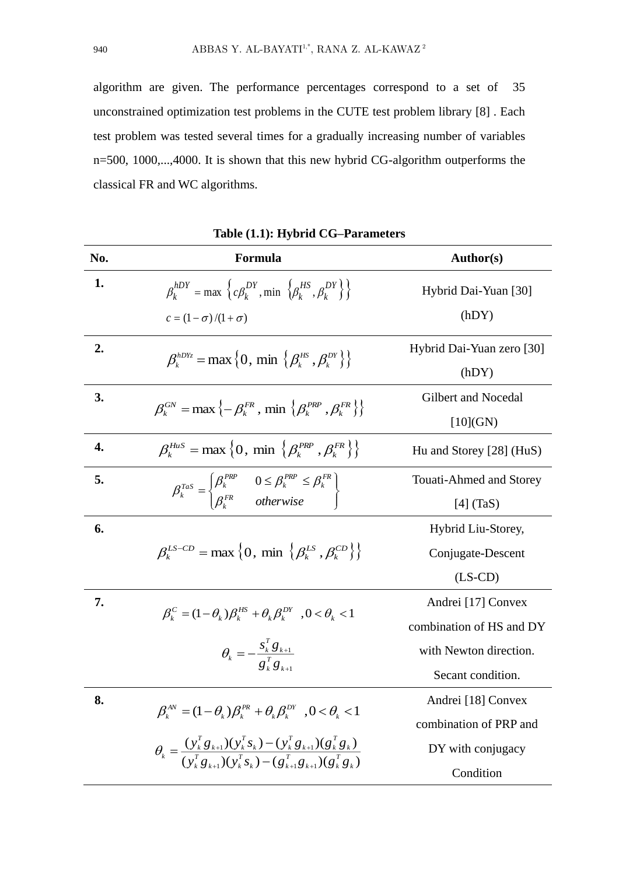algorithm are given. The performance percentages correspond to a set of 35 unconstrained optimization test problems in the CUTE test problem library [8] . Each test problem was tested several times for a gradually increasing number of variables n=500, 1000,...,4000. It is shown that this new hybrid CG-algorithm outperforms the classical FR and WC algorithms.

| No. | Formula                                                                                                                                                                                                                                                                        | Author(s)                 |
|-----|--------------------------------------------------------------------------------------------------------------------------------------------------------------------------------------------------------------------------------------------------------------------------------|---------------------------|
| 1.  | $\beta_k^{hDY}$ = max $\left\{c\beta_k^{DY}, \min \{\beta_k^{HS}, \beta_k^{DY}\}\}\right\}$                                                                                                                                                                                    | Hybrid Dai-Yuan [30]      |
|     | $c = (1 - \sigma)/(1 + \sigma)$                                                                                                                                                                                                                                                | (hDY)                     |
| 2.  | $\beta_k^{hDY_z}$ = max {0, min { $\beta_k^{H.S}$ , $\beta_k^{DY}$ }}                                                                                                                                                                                                          | Hybrid Dai-Yuan zero [30] |
|     |                                                                                                                                                                                                                                                                                | (hDY)                     |
| 3.  | $\beta_k^{GN} = \max \left\{ -\beta_k^{FR}, \min \left\{ \beta_k^{PR}, \beta_k^{FR} \right\} \right\}$                                                                                                                                                                         | Gilbert and Nocedal       |
|     |                                                                                                                                                                                                                                                                                | $[10]$ (GN)               |
| 4.  | $\beta_k^{HuS} = \max\left\{0, \min\left\{\beta_k^{PRP}, \beta_k^{FR}\right\}\right\}$                                                                                                                                                                                         | Hu and Storey [28] (HuS)  |
| 5.  | $\beta_k^{T a S} = \begin{cases} \beta_k^{PRP} & 0 \leq \beta_k^{PRP} \leq \beta_k^{PR} \\ \beta_k^{PR} & otherwise \end{cases}$                                                                                                                                               | Touati-Ahmed and Storey   |
|     |                                                                                                                                                                                                                                                                                | $[4]$ (TaS)               |
| 6.  |                                                                                                                                                                                                                                                                                | Hybrid Liu-Storey,        |
|     | $\beta_k^{LS-CD}$ = max {0, min { $\beta_k^{LS}$ , $\beta_k^{CD}$ }}                                                                                                                                                                                                           | Conjugate-Descent         |
|     |                                                                                                                                                                                                                                                                                | $(LS-CD)$                 |
| 7.  | $\beta_k^C = (1 - \theta_k) \beta_k^{HS} + \theta_k \beta_k^{DY}$ , $0 < \theta_k < 1$                                                                                                                                                                                         | Andrei [17] Convex        |
|     |                                                                                                                                                                                                                                                                                | combination of HS and DY  |
|     | $\theta_k = -\frac{s_k^T g_{k+1}}{g_{k}^T g_{k+1}}$                                                                                                                                                                                                                            | with Newton direction.    |
|     |                                                                                                                                                                                                                                                                                | Secant condition.         |
| 8.  | $\beta_{\scriptscriptstyle L}^{\scriptscriptstyle AN} = (1-\theta_{\scriptscriptstyle L})\beta_{\scriptscriptstyle L}^{\scriptscriptstyle PR} + \theta_{\scriptscriptstyle L}\beta_{\scriptscriptstyle L}^{\scriptscriptstyle DY} \ \ , 0 < \theta_{\scriptscriptstyle L} < 1$ | Andrei [18] Convex        |
|     |                                                                                                                                                                                                                                                                                | combination of PRP and    |
|     | $\theta_k = \frac{(y_k^T g_{k+1})(y_k^T s_k) - (y_k^T g_{k+1})(g_k^T g_k)}{(y_k^T g_{k+1})(y_k^T s_k) - (g_k^T g_{k+1})(g_k^T g_k)}$                                                                                                                                           | DY with conjugacy         |
|     |                                                                                                                                                                                                                                                                                | Condition                 |

|  |  |  | Table (1.1): Hybrid CG-Parameters |
|--|--|--|-----------------------------------|
|--|--|--|-----------------------------------|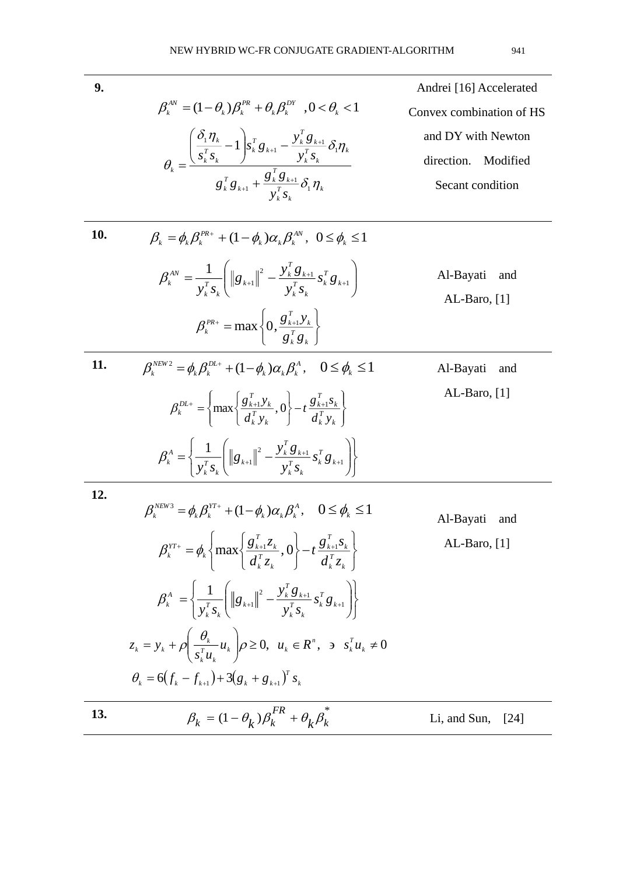*PR*

Andrei [16] Accelerated

$$
\beta_{k}^{AW} = (1 - \theta_{k})\beta_{k}^{PR} + \theta_{k}\beta_{k}^{DY}, 0 < \theta_{k} < 1
$$
  
\n
$$
\theta_{k} = \frac{\left(\frac{\delta_{1}\eta_{k}}{s_{k}^{T}s_{k}} - 1\right)s_{k}^{T}g_{k+1} - \frac{y_{k}^{T}g_{k+1}}{y_{k}^{T}s_{k}}\delta_{1}\eta_{k}}{g_{k}^{T}g_{k+1} + \frac{g_{k}^{T}g_{k+1}}{y_{k}^{T}s_{k}}\delta_{1}\eta_{k}}
$$
 and DY with Newton direction. Modified  
\n
$$
\beta_{k} = \phi_{k}\beta_{k}^{PR*} + (1 - \phi_{k})\alpha_{k}\beta_{k}^{AW}, 0 \le \phi_{k} \le 1
$$
  
\n
$$
\beta_{k}^{AW} = \frac{1}{y_{k}^{T}s_{k}}\left(\left\|g_{k+1}\right\|^{2} - \frac{y_{k}^{T}g_{k+1}}{y_{k}^{T}s_{k}}s_{k}^{T}g_{k+1}\right)
$$
Al-Bayati and AL-Baro, [1]  
\n
$$
\beta_{k}^{PR*} = \max\left\{0, \frac{g_{k+1}^{T}y_{k}}{g_{k}^{T}g_{k}}\right\}
$$
  
\n11. 
$$
\beta_{k}^{MW2} = \phi_{k}\beta_{k}^{DL*} + (1 - \phi_{k})\alpha_{k}\beta_{k}^{A}, 0 \le \phi_{k} \le 1
$$
Al-Bayati and  
\n
$$
\beta_{k}^{DL*} = \left\{\max\left\{\frac{g_{k+1}^{T}y_{k}}{d_{k}^{T}y_{k}}, 0\right\} - t\frac{g_{k+1}^{T}s_{k}}{d_{k}^{T}y_{k}}\right\}
$$
AL-Baro, [1]  
\n12.

**12.**

**13.**

$$
\beta_k^{NEW3} = \phi_k \beta_k^{YT} + (1 - \phi_k) \alpha_k \beta_k^A, \quad 0 \le \phi_k \le 1
$$
\nAl-Bayati and\n
$$
\beta_k^{YT} = \phi_k \left\{ \max \left\{ \frac{g_{k+1}^T z_k}{d_k^T z_k}, 0 \right\} - t \frac{g_{k+1}^T s_k}{d_k^T z_k} \right\}
$$
\nAl-Baro, [1]\n
$$
\beta_k^A = \left\{ \frac{1}{y_k^T s_k} \left( \|g_{k+1}\|^2 - \frac{y_k^T g_{k+1}}{y_k^T s_k} s_k^T g_{k+1} \right) \right\}
$$
\n
$$
z_k = y_k + \rho \left( \frac{\theta_k}{s_k^T u_k} u_k \right) \rho \ge 0, \quad u_k \in \mathbb{R}^n, \quad \exists \quad s_k^T u_k \ne 0
$$
\n
$$
\theta_k = 6(f_k - f_{k+1}) + 3(g_k + g_{k+1})^T s_k
$$
\n
$$
\beta_k = (1 - \theta_k) \beta_k^{FR} + \theta_k \beta_k^*
$$
\nLi, and Sun, [24]

**9.**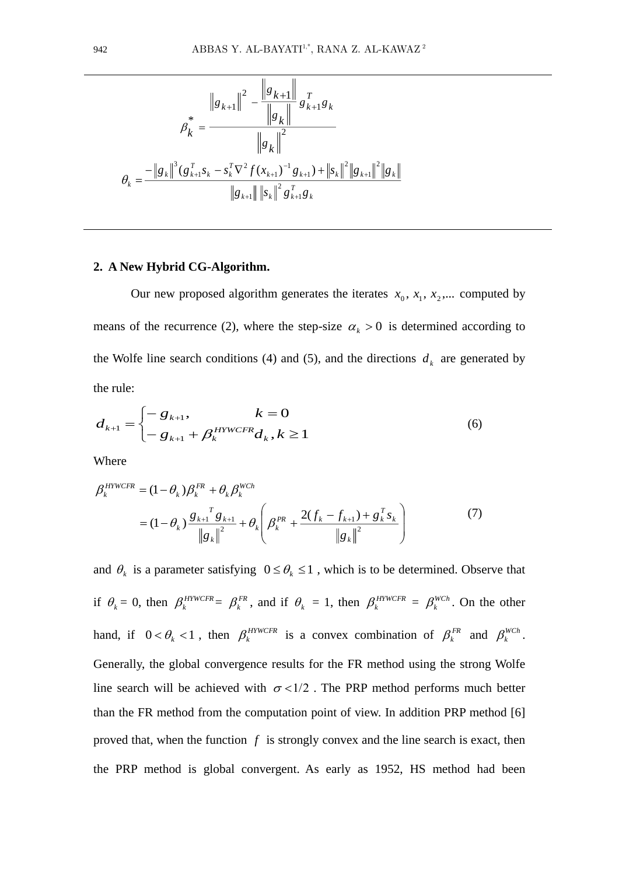

#### **2. A New Hybrid CG-Algorithm.**

Our new proposed algorithm generates the iterates  $x_0, x_1, x_2, ...$  computed by means of the recurrence (2), where the step-size  $\alpha_k > 0$  is determined according to the Wolfe line search conditions (4) and (5), and the directions  $d_k$  are generated by the rule:

$$
d_{k+1} = \begin{cases} -g_{k+1}, & k = 0\\ -g_{k+1} + \beta_k^{HYWCFR} d_k, k \ge 1 \end{cases}
$$
 (6)

Where

$$
\beta_k^{HYWCFR} = (1 - \theta_k) \beta_k^{FR} + \theta_k \beta_k^{WCh}
$$
  
=  $(1 - \theta_k) \frac{g_{k+1}^T g_{k+1}}{\|g_k\|^2} + \theta_k \left( \beta_k^{PR} + \frac{2(f_k - f_{k+1}) + g_k^T g_k}{\|g_k\|^2} \right)$  (7)

and  $\theta_k$  is a parameter satisfying  $0 \leq \theta_k \leq 1$ , which is to be determined. Observe that if  $\theta_k = 0$ , then  $\beta_k^{HYWCFR} = \beta_k^{FR}$ , and if  $\theta_k = 1$ , then  $\beta_k^{HYWCFR} = \beta_k^{WCh}$ . On the other hand, if  $0 < \theta_k < 1$ , then  $\beta_k^{HFWCFR}$  is a convex combination of  $\beta_k^{FR}$  and  $\beta_k^{WCh}$ . Generally, the global convergence results for the FR method using the strong Wolfe line search will be achieved with  $\sigma < 1/2$ . The PRP method performs much better than the FR method from the computation point of view. In addition PRP method [6] proved that, when the function  $f$  is strongly convex and the line search is exact, then the PRP method is global convergent. As early as 1952, HS method had been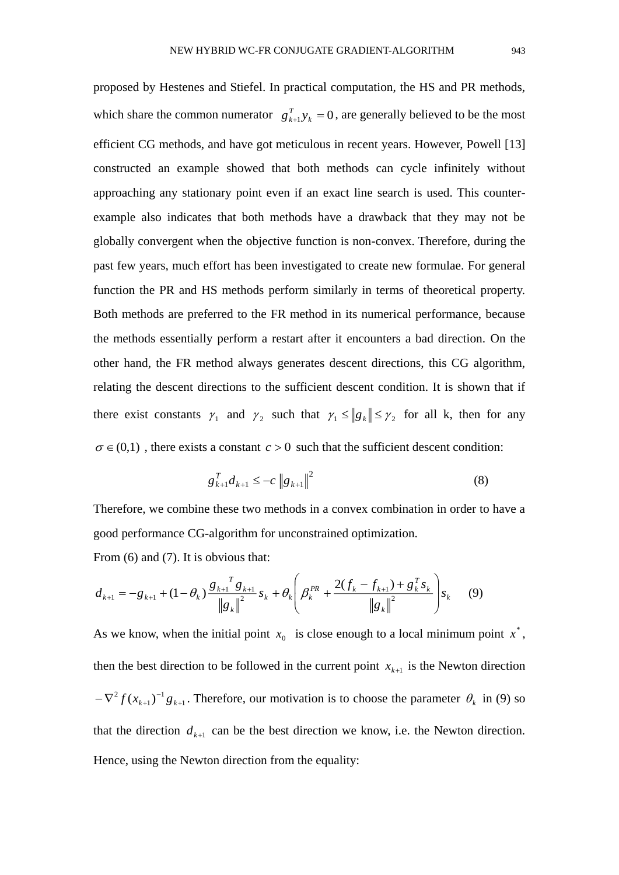proposed by Hestenes and Stiefel. In practical computation, the HS and PR methods, which share the common numerator  $g_{k+1}^T y_k = 0$ , are generally believed to be the most efficient CG methods, and have got meticulous in recent years. However, Powell [13] constructed an example showed that both methods can cycle infinitely without approaching any stationary point even if an exact line search is used. This counterexample also indicates that both methods have a drawback that they may not be globally convergent when the objective function is non-convex. Therefore, during the past few years, much effort has been investigated to create new formulae. For general function the PR and HS methods perform similarly in terms of theoretical property. Both methods are preferred to the FR method in its numerical performance, because the methods essentially perform a restart after it encounters a bad direction. On the other hand, the FR method always generates descent directions, this CG algorithm, relating the descent directions to the sufficient descent condition. It is shown that if there exist constants  $\gamma_1$  and  $\gamma_2$  such that  $\gamma_1 \le ||g_k|| \le \gamma_2$  for all k, then for any

 $\sigma \in (0,1)$ , there exists a constant  $c > 0$  such that the sufficient descent condition:

$$
g_{k+1}^T d_{k+1} \le -c \left\| g_{k+1} \right\|^2 \tag{8}
$$

Therefore, we combine these two methods in a convex combination in order to have a good performance CG-algorithm for unconstrained optimization.

From (6) and (7). It is obvious that:

$$
d_{k+1} = -g_{k+1} + (1 - \theta_k) \frac{g_{k+1}^T g_{k+1}}{\|g_k\|^2} s_k + \theta_k \left( \beta_k^{PR} + \frac{2(f_k - f_{k+1}) + g_k^T s_k}{\|g_k\|^2} \right) s_k \tag{9}
$$

As we know, when the initial point  $x_0$  is close enough to a local minimum point  $x^*$ , then the best direction to be followed in the current point  $x_{k+1}$  is the Newton direction 1 1 1  $-\nabla^2 f(x_{k+1})^{-1} g_{k+1}$ . Therefore, our motivation is to choose the parameter  $\theta_k$  in (9) so that the direction  $d_{k+1}$  can be the best direction we know, i.e. the Newton direction. Hence, using the Newton direction from the equality: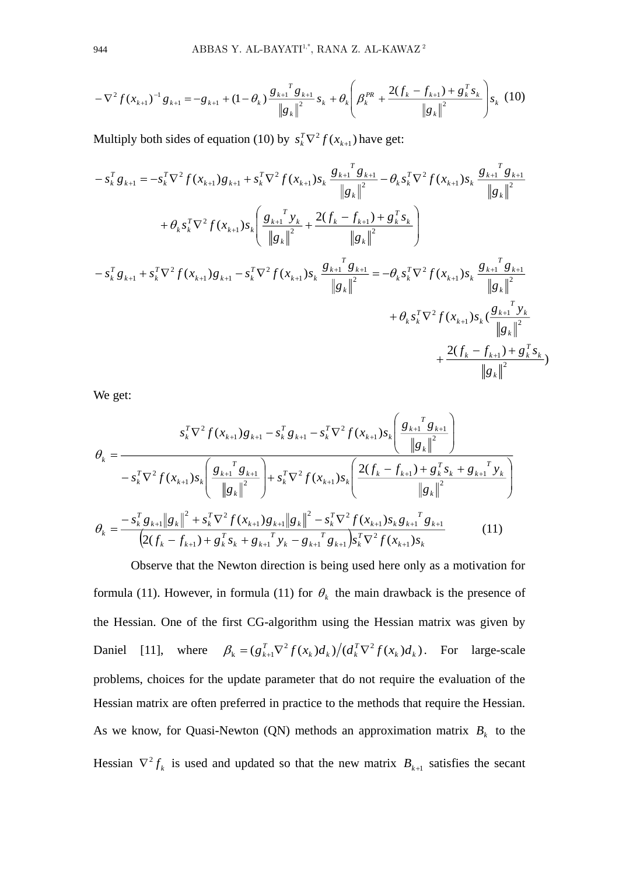$$
-\nabla^2 f(x_{k+1})^{-1} g_{k+1} = -g_{k+1} + (1 - \theta_k) \frac{g_{k+1}^T g_{k+1}}{\|g_k\|^2} s_k + \theta_k \left( \beta_k^{PR} + \frac{2(f_k - f_{k+1}) + g_k^T s_k}{\|g_k\|^2} \right) s_k
$$
 (10)

Multiply both sides of equation (10) by  $s_k^T \nabla^2 f(x_{k+1})$  $s_k^T \nabla^2 f(x_{k+1})$  have get:

$$
-s_k^T g_{k+1} = -s_k^T \nabla^2 f(x_{k+1}) g_{k+1} + s_k^T \nabla^2 f(x_{k+1}) s_k \frac{g_{k+1}^T g_{k+1}}{\|g_k\|^2} - \theta_k s_k^T \nabla^2 f(x_{k+1}) s_k \frac{g_{k+1}^T g_{k+1}}{\|g_k\|^2} + \theta_k s_k^T \nabla^2 f(x_{k+1}) s_k \left( \frac{g_{k+1}^T y_k}{\|g_k\|^2} + \frac{2(f_k - f_{k+1}) + g_k^T s_k}{\|g_k\|^2} \right) - s_k^T g_{k+1} + s_k^T \nabla^2 f(x_{k+1}) g_{k+1} - s_k^T \nabla^2 f(x_{k+1}) s_k \frac{g_{k+1}^T g_{k+1}}{\|g_k\|^2} = -\theta_k s_k^T \nabla^2 f(x_{k+1}) s_k \frac{g_{k+1}^T g_{k+1}}{\|g_k\|^2} + \theta_k s_k^T \nabla^2 f(x_{k+1}) s_k \frac{(g_{k+1}^T y_k)}{\|g_k\|^2} + \frac{2(f_k - f_{k+1}) + g_k^T s_k}{\|g_k\|^2}
$$

We get:

$$
\theta_{k} = \frac{s_{k}^{T} \nabla^{2} f(x_{k+1}) g_{k+1} - s_{k}^{T} g_{k+1} - s_{k}^{T} \nabla^{2} f(x_{k+1}) s_{k} \left( \frac{g_{k+1}^{T} g_{k+1}}{\left\| g_{k} \right\|^{2}} \right)}{-s_{k}^{T} \nabla^{2} f(x_{k+1}) s_{k} \left( \frac{g_{k+1}^{T} g_{k+1}}{\left\| g_{k} \right\|^{2}} \right) + s_{k}^{T} \nabla^{2} f(x_{k+1}) s_{k} \left( \frac{2(f_{k} - f_{k+1}) + g_{k}^{T} s_{k} + g_{k+1}^{T} y_{k}}{\left\| g_{k} \right\|^{2}} \right)}
$$
\n
$$
\theta_{k} = \frac{-s_{k}^{T} g_{k+1} \|g_{k}\|^{2} + s_{k}^{T} \nabla^{2} f(x_{k+1}) g_{k+1} \|g_{k}\|^{2} - s_{k}^{T} \nabla^{2} f(x_{k+1}) s_{k} g_{k+1}^{T} g_{k+1}}{\left( 2(f_{k} - f_{k+1}) + g_{k}^{T} s_{k} + g_{k+1}^{T} y_{k} - g_{k+1}^{T} g_{k+1} \right) s_{k}^{T} \nabla^{2} f(x_{k+1}) s_{k}}
$$
\n(11)

Observe that the Newton direction is being used here only as a motivation for formula (11). However, in formula (11) for  $\theta_k$  the main drawback is the presence of the Hessian. One of the first CG-algorithm using the Hessian matrix was given by Daniel [11], where  $\beta_k = (g_{k+1}^T \nabla^2 f(x_k) d_k) / (d_k^T \nabla^2 f(x_k) d_k)$  $k = (g_{k+1} \mathbf{v} \mathbf{J} \mathbf{v}_k) \mathbf{a}_k \mathbf{v}_k$   $(\mathbf{a}_k \mathbf{v} \mathbf{J} \mathbf{v}_k) \mathbf{a}_k$ *T*  $k$  *j*  $\boldsymbol{u}_k$  *j*  $\boldsymbol{u}_k$  $\beta_k = (g_{k+1}^T \nabla^2 f(x_k) d_k) / (d_k^T \nabla^2 f(x_k) d_k)$ . For large-scale problems, choices for the update parameter that do not require the evaluation of the Hessian matrix are often preferred in practice to the methods that require the Hessian. As we know, for Quasi-Newton (QN) methods an approximation matrix  $B_k$  to the Hessian  $\nabla^2 f_k$  is used and updated so that the new matrix  $B_{k+1}$  satisfies the secant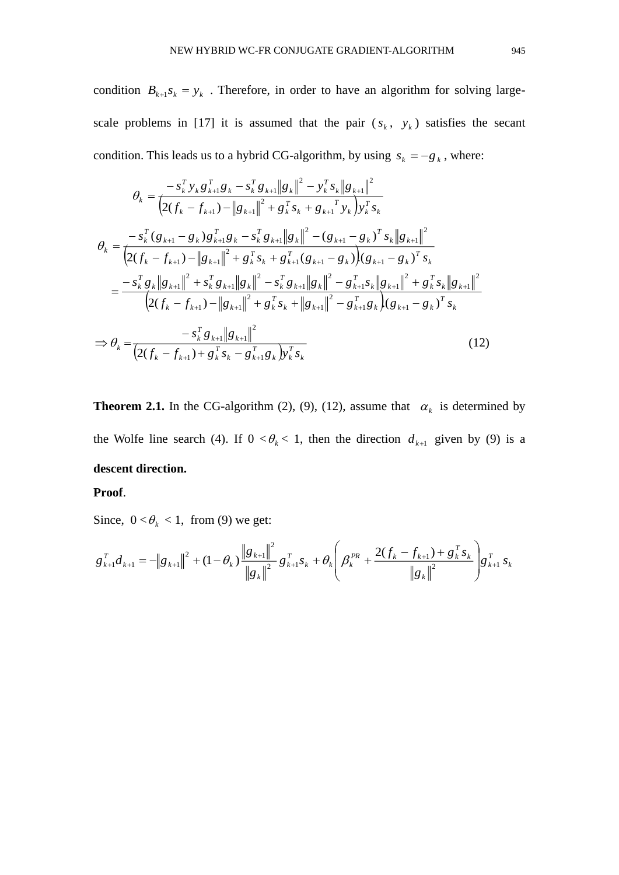condition  $B_{k+1} s_k = y_k$ . Therefore, in order to have an algorithm for solving largescale problems in [17] it is assumed that the pair  $(s_k, y_k)$  satisfies the secant condition. This leads us to a hybrid CG-algorithm, by using  $s_k = -g_k$ , where:

$$
\theta_{k} = \frac{-s_{k}^{T} y_{k} g_{k+1}^{T} g_{k} - s_{k}^{T} g_{k+1} \|g_{k}\|^{2} - y_{k}^{T} s_{k} \|g_{k+1}\|^{2}}{\left[2(f_{k} - f_{k+1}) - \|g_{k+1}\|^{2} + g_{k}^{T} s_{k} + g_{k+1}^{T} y_{k}\right] y_{k}^{T} s_{k}}
$$
\n
$$
\theta_{k} = \frac{-s_{k}^{T} (g_{k+1} - g_{k}) g_{k+1}^{T} g_{k} - s_{k}^{T} g_{k+1} \|g_{k}\|^{2} - (g_{k+1} - g_{k})^{T} s_{k} \|g_{k+1}\|^{2}}{\left[2(f_{k} - f_{k+1}) - \|g_{k+1}\|^{2} + g_{k}^{T} s_{k} + g_{k+1}^{T} (g_{k+1} - g_{k})\right] (g_{k+1} - g_{k})^{T} s_{k}}
$$
\n
$$
= \frac{-s_{k}^{T} g_{k} \|g_{k+1}\|^{2} + s_{k}^{T} g_{k+1} \|g_{k}\|^{2} - s_{k}^{T} g_{k+1} \|g_{k}\|^{2} - g_{k+1}^{T} s_{k} \|g_{k+1}\|^{2} + g_{k}^{T} s_{k} \|g_{k+1}\|^{2}}{\left[2(f_{k} - f_{k+1}) - \|g_{k+1}\|^{2} + g_{k}^{T} s_{k} + \|g_{k+1}\|^{2} - g_{k+1}^{T} g_{k}\right] (g_{k+1} - g_{k})^{T} s_{k}}
$$
\n
$$
\Rightarrow \theta_{k} = \frac{-s_{k}^{T} g_{k+1} \|g_{k+1}\|^{2}}{\left[2(f_{k} - f_{k+1}) + g_{k}^{T} s_{k} - g_{k+1}^{T} g_{k}\right] y_{k}^{T} s_{k}}
$$
\n(12)

**Theorem 2.1.** In the CG-algorithm (2), (9), (12), assume that  $\alpha_k$  is determined by the Wolfe line search (4). If  $0 < \theta_k < 1$ , then the direction  $d_{k+1}$  given by (9) is a **descent direction.**

#### **Proof**.

Since,  $0 < \theta_k < 1$ , from (9) we get:

$$
g_{k+1}^T d_{k+1} = -||g_{k+1}||^2 + (1 - \theta_k) \frac{||g_{k+1}||^2}{||g_k||^2} g_{k+1}^T s_k + \theta_k \left( \beta_k^{PR} + \frac{2(f_k - f_{k+1}) + g_k^T s_k}{||g_k||^2} \right) g_{k+1}^T s_k
$$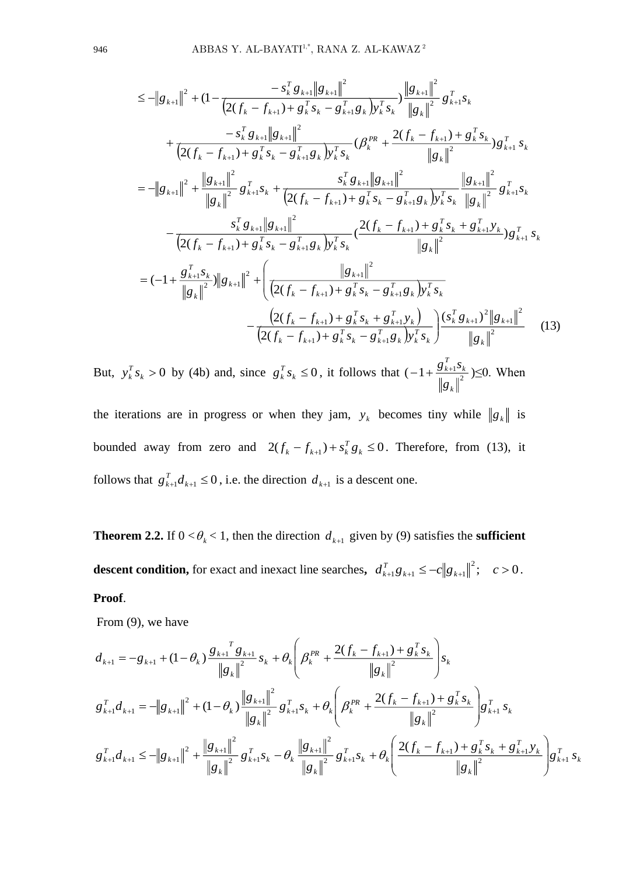$$
\leq -\|g_{k+1}\|^2 + (1 - \frac{s_k^T g_{k+1} \|g_{k+1}\|^2}{(2(f_k - f_{k+1}) + g_k^T s_k - g_{k+1}^T g_k) y_k^T s_k}) \frac{\|g_{k+1}\|^2}{\|g_k\|^2} g_{k+1}^T s_k
$$
  
+ 
$$
\frac{-s_k^T g_{k+1} \|g_{k+1}\|^2}{(2(f_k - f_{k+1}) + g_k^T s_k - g_{k+1}^T g_k) y_k^T s_k} (\beta_k^{PR} + \frac{2(f_k - f_{k+1}) + g_k^T s_k}{\|g_k\|^2}) g_{k+1}^T s_k
$$
  
= 
$$
-\|g_{k+1}\|^2 + \frac{\|g_{k+1}\|^2}{\|g_k\|^2} g_{k+1}^T s_k + \frac{s_k^T g_{k+1} \|g_{k+1}\|^2}{(2(f_k - f_{k+1}) + g_k^T s_k - g_{k+1}^T g_k) y_k^T s_k} \frac{\|g_{k+1}\|^2}{\|g_k\|^2} g_{k+1}^T s_k
$$
  
- 
$$
\frac{s_k^T g_{k+1} \|g_{k+1}\|^2}{(2(f_k - f_{k+1}) + g_k^T s_k - g_{k+1}^T g_k) y_k^T s_k} (\frac{2(f_k - f_{k+1}) + g_k^T s_k + g_{k+1}^T y_k}{\|g_k\|^2}) g_{k+1}^T s_k
$$
  
= 
$$
(-1 + \frac{g_{k+1}^T s_k}{\|g_k\|^2}) \|g_{k+1}\|^2 + \left( \frac{\|g_{k+1}\|^2}{(2(f_k - f_{k+1}) + g_k^T s_k - g_{k+1}^T g_k) y_k^T s_k} - \frac{(2(f_k - f_{k+1}) + g_k^T s_k + g_{k+1}^T y_k)}{(2(f_k - f_{k+1}) + g_k^T s_k - g_{k+1}^T g_k) y_k^T s_k} \right) \frac{(s_k^T g_{k+1})^2 \|g_{k+1}\|^2}{\|g_k\|^2} \qquad (13)
$$

But,  $y_k^T s_k > 0$  $y_k^T s_k > 0$  by (4b) and, since  $g_k^T s_k \le 0$ , it follows that  $(-1 + \frac{5k+1^{2}}{1^{2}})$  $1+\frac{\delta k+1}{2}$ *k k T k g*  $(-1+\frac{g_{k+1} s_k}{g^2}) \leq 0$ . When

the iterations are in progress or when they jam,  $y_k$  becomes tiny while  $||g_k||$  is bounded away from zero and  $2(f_k - f_{k+1}) + s_k^T g_k \le 0$ . Therefore, from (13), it follows that  $g_{k+1}^T d_{k+1} \leq 0$ , i.e. the direction  $d_{k+1}$  is a descent one.

**Theorem 2.2.** If  $0 < \theta_k < 1$ , then the direction  $d_{k+1}$  given by (9) satisfies the **sufficient descent condition,** for exact and inexact line searches,  $d_{k+1}^T g_{k+1} \le -c ||g_{k+1}||^2$ ;  $c > 0$  $E_{k+1}^T g_{k+1} \leq -c \|g_{k+1}\|^2; \quad c > 0.$ **Proof**.

From (9), we have

$$
d_{k+1} = -g_{k+1} + (1 - \theta_k) \frac{g_{k+1}^T g_{k+1}}{\|g_k\|^2} s_k + \theta_k \left( \beta_k^{PR} + \frac{2(f_k - f_{k+1}) + g_k^T s_k}{\|g_k\|^2} \right) s_k
$$
  

$$
g_{k+1}^T d_{k+1} = -\|g_{k+1}\|^2 + (1 - \theta_k) \frac{\|g_{k+1}\|^2}{\|g_k\|^2} g_{k+1}^T s_k + \theta_k \left( \beta_k^{PR} + \frac{2(f_k - f_{k+1}) + g_k^T s_k}{\|g_k\|^2} \right) g_{k+1}^T s_k
$$
  

$$
g_{k+1}^T d_{k+1} \le -\|g_{k+1}\|^2 + \frac{\|g_{k+1}\|^2}{\|g_k\|^2} g_{k+1}^T s_k - \theta_k \frac{\|g_{k+1}\|^2}{\|g_k\|^2} g_{k+1}^T s_k + \theta_k \left( \frac{2(f_k - f_{k+1}) + g_k^T s_k + g_{k+1}^T y_k}{\|g_k\|^2} \right) g_{k+1}^T s_k
$$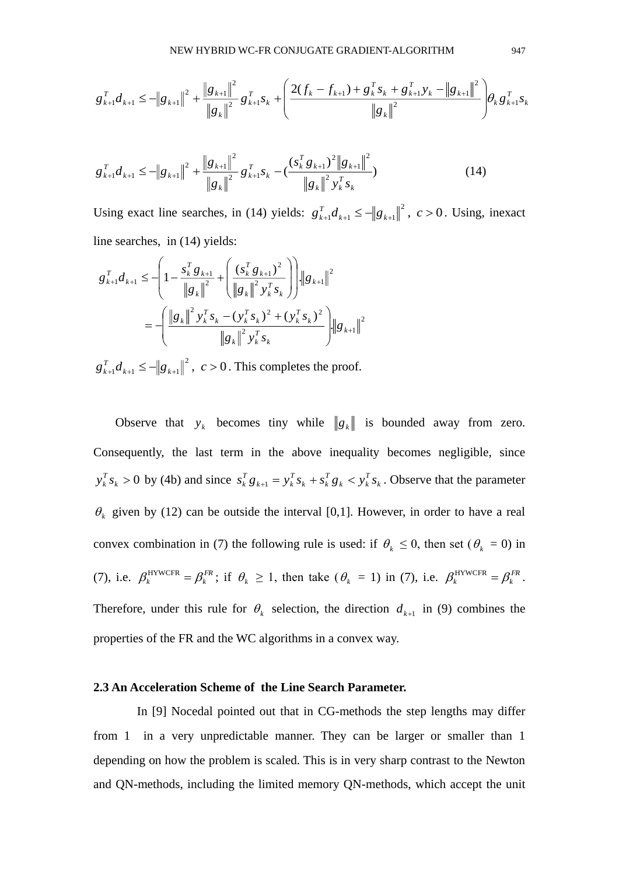$$
g_{k+1}^{T}d_{k+1} \leq -\left\|g_{k+1}\right\|^{2} + \frac{\left\|g_{k+1}\right\|^{2}}{\left\|g_{k}\right\|^{2}} g_{k+1}^{T} s_{k} + \left(\frac{2(f_{k} - f_{k+1}) + g_{k}^{T} s_{k} + g_{k+1}^{T} y_{k} - \left\|g_{k+1}\right\|^{2}}{\left\|g_{k}\right\|^{2}}\right) + \left(\frac{2(f_{k} - f_{k+1}) + g_{k}^{T} s_{k} + g_{k+1}^{T} y_{k}}{\left\|g_{k}\right\|^{2}}\right) + \left(\frac{2(f_{k} - f_{k+1}) + g_{k}^{T} s_{k}}{\left\|g_{k}\right\|^{2}} g_{k+1}^{T} s_{k}\right)
$$

$$
g_{k+1}^T d_{k+1} \leq -\left\| g_{k+1} \right\|^2 + \frac{\left\| g_{k+1} \right\|^2}{\left\| g_k \right\|^2} g_{k+1}^T s_k - \left( \frac{(s_k^T g_{k+1})^2 \left\| g_{k+1} \right\|^2}{\left\| g_k \right\|^2 y_k^T s_k} \right) \tag{14}
$$

Using exact line searches, in (14) yields:  $g_{k+1}^T d_{k+1} \leq -||g_{k+1}||^2$ ,  $c > 0$  $\|f_{k+1}^T d_{k+1} \leq -\|g_{k+1}\|^2$ ,  $c > 0$ . Using, inexact line searches, in (14) yields:

$$
g_{k+1}^T d_{k+1} \leq -\left(1 - \frac{s_k^T g_{k+1}}{\|g_k\|^2} + \left(\frac{(s_k^T g_{k+1})^2}{\|g_k\|^2 y_k^T s_k}\right)\right) \|g_{k+1}\|^2
$$
  
= 
$$
- \left( \frac{\|g_k\|^2 y_k^T s_k - (y_k^T s_k)^2 + (y_k^T s_k)^2}{\|g_k\|^2 y_k^T s_k} \right) \|g_{k+1}\|^2
$$

 $g_{k+1}^T d_{k+1} \leq -\left\| g_{k+1} \right\|^2, \ c > 0$  $\|f_{k+1}^T f\|_{k+1} \leq -\|g_{k+1}\|^2$ ,  $c > 0$ . This completes the proof.

Observe that  $y_k$  becomes tiny while  $\|g_k\|$  is bounded away from zero. Consequently, the last term in the above inequality becomes negligible, since  $_{k}^{T} s_{k} > 0$  $y_k^T s_k > 0$  by (4b) and since  $s_k^T g_{k+1} = y_k^T s_k + s_k^T g_k < y_k^T s_k$ *T k k T k k T*  $k+1 = \lambda k$ *T*  $s_k^T g_{k+1} = y_k^T s_k + s_k^T g_k < y_k^T s_k$ . Observe that the parameter  $\theta_k$  given by (12) can be outside the interval [0,1]. However, in order to have a real convex combination in (7) the following rule is used: if  $\theta_k \le 0$ , then set ( $\theta_k = 0$ ) in (7), i.e.  $\beta_k^{\text{HYWCFR}} = \beta_k^{\text{FR}}$ ; if  $\theta_k \ge 1$ , then take  $(\theta_k = 1)$  in (7), i.e.  $\beta_k^{\text{HYWCFR}} = \beta_k^{\text{FR}}$ . Therefore, under this rule for  $\theta_k$  selection, the direction  $d_{k+1}$  in (9) combines the properties of the FR and the WC algorithms in a convex way.

#### **2.3 An Acceleration Scheme of the Line Search Parameter.**

 In [9] Nocedal pointed out that in CG-methods the step lengths may differ from 1 in a very unpredictable manner. They can be larger or smaller than 1 depending on how the problem is scaled. This is in very sharp contrast to the Newton and QN-methods, including the limited memory QN-methods, which accept the unit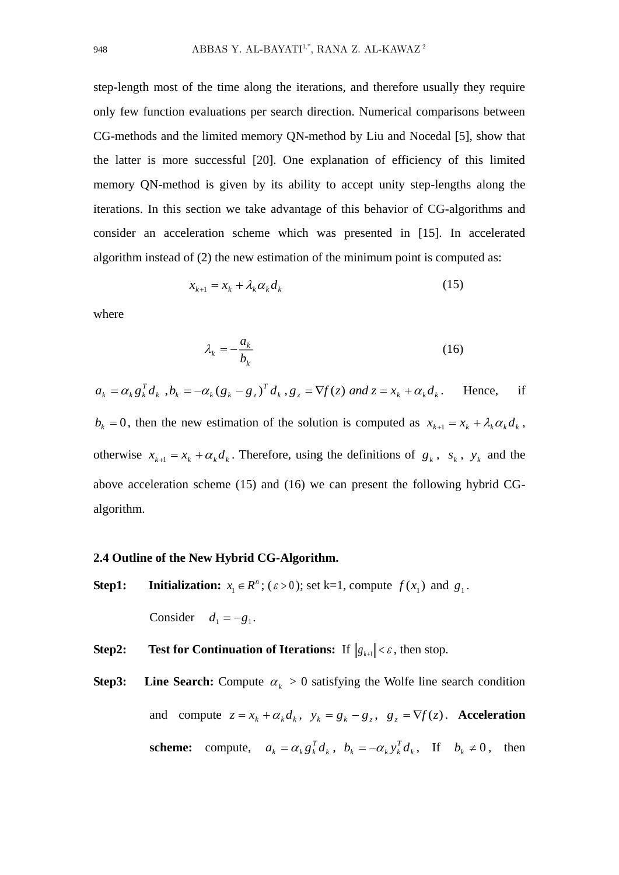step-length most of the time along the iterations, and therefore usually they require only few function evaluations per search direction. Numerical comparisons between CG-methods and the limited memory QN-method by Liu and Nocedal [5], show that the latter is more successful [20]. One explanation of efficiency of this limited memory QN-method is given by its ability to accept unity step-lengths along the iterations. In this section we take advantage of this behavior of CG-algorithms and consider an acceleration scheme which was presented in [15]. In accelerated algorithm instead of (2) the new estimation of the minimum point is computed as:

$$
x_{k+1} = x_k + \lambda_k \alpha_k d_k \tag{15}
$$

where

$$
\lambda_k = -\frac{a_k}{b_k} \tag{16}
$$

 $k \cdot \delta_z = \iint (1/\sqrt{m} \mu \lambda_z - \lambda_k + \lambda_k \mu_k)$ *T*  $k \cdot k = u_k \cdot k \cdot k \cdot k$  $a_k = \alpha_k g_k^T d_k$ ,  $b_k = -\alpha_k (g_k - g_z)^T d_k$ ,  $g_z = \nabla f(z)$  *and*  $z = x_k + \alpha_k d_k$ . Hence, if  $b_k = 0$ , then the new estimation of the solution is computed as  $x_{k+1} = x_k + \lambda_k \alpha_k d_k$ , otherwise  $x_{k+1} = x_k + \alpha_k d_k$ . Therefore, using the definitions of  $g_k$ ,  $s_k$ ,  $y_k$  and the above acceleration scheme (15) and (16) we can present the following hybrid CGalgorithm.

#### **2.4 Outline of the New Hybrid CG-Algorithm.**

- **Step1:** Initialization:  $x_1 \in R^n$ ;  $(\varepsilon > 0)$ ; set k=1, compute  $f(x_1)$  and  $g_1$ . Consider  $d_1 = -g_1$ .
- **Step2:** Test for Continuation of Iterations: If  $\|g_{k+1}\| < \varepsilon$ , then stop.
- **Step3:** Line Search: Compute  $\alpha_k > 0$  satisfying the Wolfe line search condition and compute  $z = x_k + \alpha_k d_k$ ,  $y_k = g_k - g_z$ ,  $g_z = \nabla f(z)$ . Acceleration **scheme:** compute,  $a_k = \alpha_k g_k^T d_k$ ,  $b_k = -\alpha_k y_k^T d_k$ *T*  $k$ ,  $\mathbf{v}_k - \mathbf{u}_k \mathbf{y}_k$  $a_k = \alpha_k g_k^T d_k$ ,  $b_k = -\alpha_k y_k^T d_k$ , If  $b_k \neq 0$ , then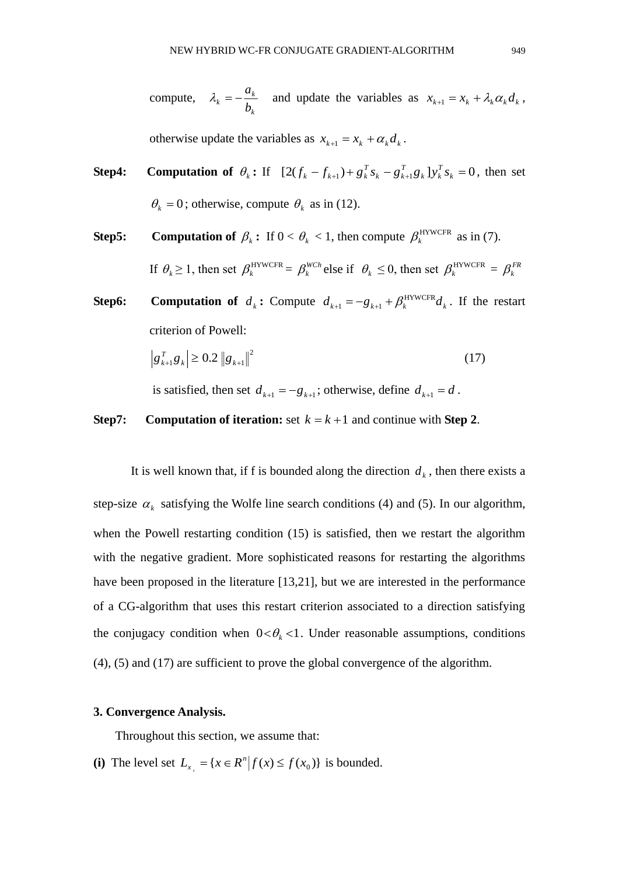compute, 
$$
\lambda_k = -\frac{a_k}{b_k}
$$
 and update the variables as  $x_{k+1} = x_k + \lambda_k \alpha_k d_k$ ,

otherwise update the variables as  $x_{k+1} = x_k + \alpha_k d_k$ .

- **Step4:** Computation of  $\theta_k$ : If  $[2(f_k f_{k+1}) + g_k^T s_k g_{k+1}^T g_k] y_k^T s_k = 0$ *k k T k k T*  $f_k - f_{k+1}$  +  $g_k^T s_k - g_{k+1}^T g_k$  ]  $y_k^T s_k = 0$ , then set  $\theta_k = 0$ ; otherwise, compute  $\theta_k$  as in (12).
- **Step5: Computation of**  $\beta_k$ : If  $0 < \theta_k < 1$ , then compute  $\beta_k^{\text{HYWCFR}}$  as in (7).

If  $\theta_k \geq 1$ , then set  $\beta_k^{\text{HYWCFR}} = \beta_k^{\text{WC}h}$  else if  $\theta_k \leq 0$ , then set  $\beta_k^{\text{HYWCFR}} = \beta_k^{\text{FR}}$ 

**Step6:** Computation of  $d_k$ : Compute  $d_{k+1} = -g_{k+1} + \beta_k^{\text{HYWCFR}} d_k$ . If the restart criterion of Powell:

$$
\left| g_{k+1}^T g_k \right| \ge 0.2 \left\| g_{k+1} \right\|^2 \tag{17}
$$

is satisfied, then set  $d_{k+1} = -g_{k+1}$ ; otherwise, define  $d_{k+1} = d$ .

#### **Step7:** Computation of iteration: set  $k = k + 1$  and continue with Step 2.

It is well known that, if f is bounded along the direction  $d_k$ , then there exists a step-size  $\alpha_k$  satisfying the Wolfe line search conditions (4) and (5). In our algorithm, when the Powell restarting condition (15) is satisfied, then we restart the algorithm with the negative gradient. More sophisticated reasons for restarting the algorithms have been proposed in the literature [13,21], but we are interested in the performance of a CG-algorithm that uses this restart criterion associated to a direction satisfying the conjugacy condition when  $0 < \theta_k < 1$ . Under reasonable assumptions, conditions (4), (5) and (17) are sufficient to prove the global convergence of the algorithm.

#### **3. Convergence Analysis.**

Throughout this section, we assume that:

(i) The level set  $L_{x} = \{x \in R^n | f(x) \le f(x_0) \}$  $\mathcal{L}_x = \{x \in \mathbb{R}^n \mid f(x) \leq f(x_0)\}\$ is bounded.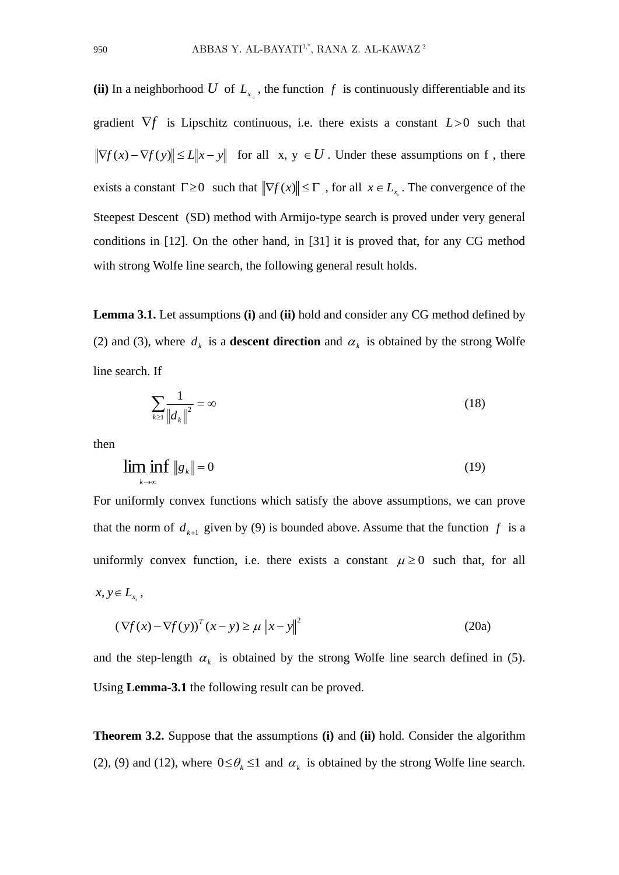(ii) In a neighborhood U of  $L<sub>x</sub>$ , the function f is continuously differentiable and its gradient  $\nabla f$  is Lipschitz continuous, i.e. there exists a constant  $L>0$  such that  $\|\nabla f(x) - \nabla f(y)\| \le L \|x - y\|$  for all x,  $y \in U$ . Under these assumptions on f, there exists a constant  $\Gamma \ge 0$  such that  $\|\nabla f(x)\| \le \Gamma$ , for all  $x \in L_{x}$ . The convergence of the Steepest Descent (SD) method with Armijo-type search is proved under very general conditions in [12]. On the other hand, in [31] it is proved that, for any CG method with strong Wolfe line search, the following general result holds.

**Lemma 3.1.** Let assumptions **(i)** and **(ii)** hold and consider any CG method defined by (2) and (3), where  $d_k$  is a **descent direction** and  $\alpha_k$  is obtained by the strong Wolfe line search. If

$$
\sum_{k\geq 1} \frac{1}{\left\|d_k\right\|^2} = \infty \tag{18}
$$

then

$$
\liminf_{k \to \infty} \|g_k\| = 0
$$
\n(19)

For uniformly convex functions which satisfy the above assumptions, we can prove that the norm of  $d_{k+1}$  given by (9) is bounded above. Assume that the function  $f$  is a uniformly convex function, i.e. there exists a constant  $\mu \ge 0$  such that, for all  $x, y \in L_{\mathfrak{x}}$ ,

$$
\left(\nabla f(x) - \nabla f(y)\right)^{T} (x - y) \ge \mu \left\|x - y\right\|^{2}
$$
\n(20a)

and the step-length  $\alpha_k$  is obtained by the strong Wolfe line search defined in (5). Using **Lemma-3.1** the following result can be proved.

**Theorem 3.2.** Suppose that the assumptions **(i)** and **(ii)** hold. Consider the algorithm (2), (9) and (12), where  $0 \le \theta_k \le 1$  and  $\alpha_k$  is obtained by the strong Wolfe line search.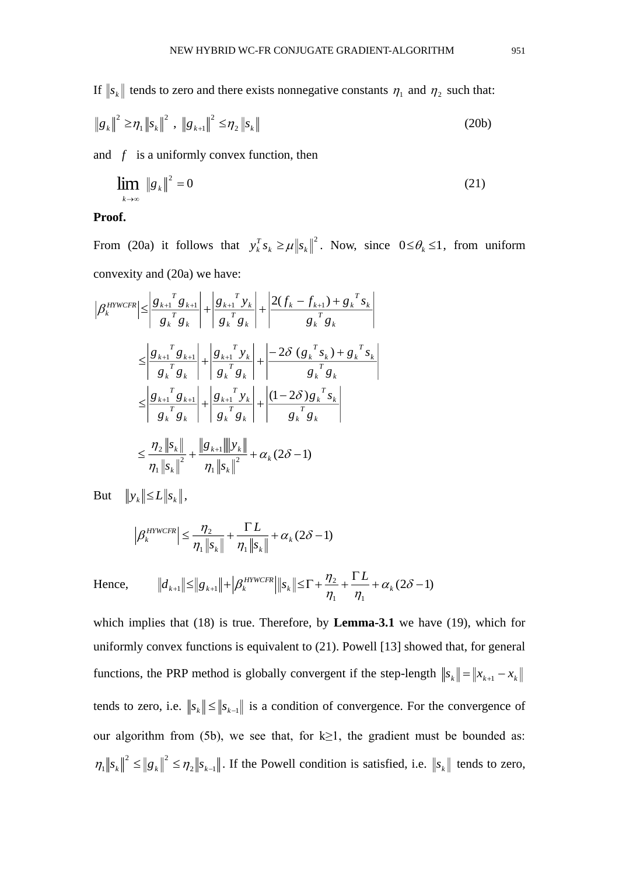If  $\|s_k\|$  tends to zero and there exists nonnegative constants  $\eta_1$  and  $\eta_2$  such that:

$$
\|g_k\|^2 \ge \eta_1 \|s_k\|^2 \, , \, \|g_{k+1}\|^2 \le \eta_2 \|s_k\| \tag{20b}
$$

and  $f$  is a uniformly convex function, then

$$
\lim_{k \to \infty} \|g_k\|^2 = 0 \tag{21}
$$

**Proof.**

From (20a) it follows that  $y_k^T s_k \ge \mu \|s_k\|^2$  $k = \mu_{\parallel} \mu_{k}$ *T*  $y_k^T s_k \ge \mu \|s_k\|^2$ . Now, since  $0 \le \theta_k \le 1$ , from uniform convexity and (20a) we have:

$$
\left| \beta_{k}^{HYWCFR} \right| \leq \left| \frac{g_{k+1}^{T} g_{k+1}}{g_{k}^{T} g_{k}} \right| + \left| \frac{g_{k+1}^{T} y_{k}}{g_{k}^{T} g_{k}} \right| + \left| \frac{2(f_{k} - f_{k+1}) + g_{k}^{T} s_{k}}{g_{k}^{T} g_{k}} \right|
$$
  

$$
\leq \left| \frac{g_{k+1}^{T} g_{k+1}}{g_{k}^{T} g_{k}} \right| + \left| \frac{g_{k+1}^{T} y_{k}}{g_{k}^{T} g_{k}} \right| + \left| \frac{-2\delta (g_{k}^{T} s_{k}) + g_{k}^{T} s_{k}}{g_{k}^{T} g_{k}} \right|
$$
  

$$
\leq \left| \frac{g_{k+1}^{T} g_{k+1}}{g_{k}^{T} g_{k}} \right| + \left| \frac{g_{k+1}^{T} y_{k}}{g_{k}^{T} g_{k}} \right| + \left| \frac{(1 - 2\delta) g_{k}^{T} s_{k}}{g_{k}^{T} g_{k}} \right|
$$
  

$$
\leq \frac{\eta_{2} \left\| s_{k} \right\|}{\eta_{1} \left\| s_{k} \right\|^{2}} + \frac{\left\| g_{k+1} \right\| \left\| y_{k} \right\|}{\eta_{1} \left\| s_{k} \right\|^{2}} + \alpha_{k} (2\delta - 1)
$$

 $\|y_k\| \le L \|s_k\|$ ,

$$
\left|\beta_k^{HYWCFR}\right| \leq \frac{\eta_2}{\eta_1 \|s_k\|} + \frac{\Gamma L}{\eta_1 \|s_k\|} + \alpha_k (2\delta - 1)
$$

Hence, 
$$
||d_{k+1}|| \le ||g_{k+1}|| + |\beta_k^{HYWCFR}|| ||s_k|| \le \Gamma + \frac{\eta_2}{\eta_1} + \frac{\Gamma L}{\eta_1} + \alpha_k (2\delta - 1)
$$

which implies that (18) is true. Therefore, by **Lemma-3.1** we have (19), which for uniformly convex functions is equivalent to (21). Powell [13] showed that, for general functions, the PRP method is globally convergent if the step-length  $||s_k|| = ||x_{k+1} - x_k||$ tends to zero, i.e.  $\|s_k\| \le \|s_{k-1}\|$  is a condition of convergence. For the convergence of our algorithm from (5b), we see that, for  $k \ge 1$ , the gradient must be bounded as: 2  $\mathbb{P}_{k-1}$  $\eta_1 \|s_k\|^2 \le \|g_k\|^2 \le \eta_2 \|s_{k-1}\|$ . If the Powell condition is satisfied, i.e.  $\|s_k\|$  tends to zero,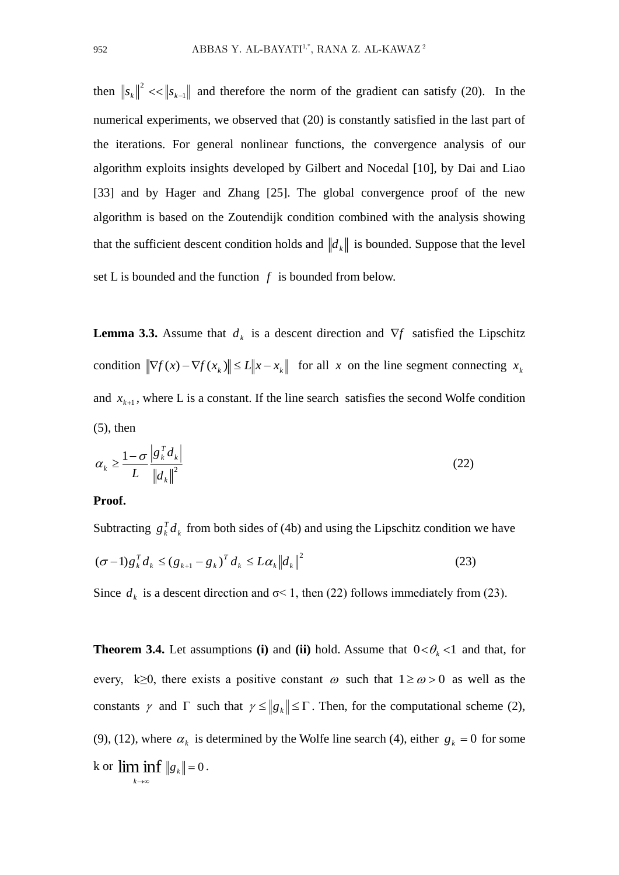then  $||s_k||^2 \lt \le ||s_{k-1}||$  $\|s_k\|^2 \ll \|s_{k-1}\|$  and therefore the norm of the gradient can satisfy (20). In the numerical experiments, we observed that (20) is constantly satisfied in the last part of the iterations. For general nonlinear functions, the convergence analysis of our algorithm exploits insights developed by Gilbert and Nocedal [10], by Dai and Liao [33] and by Hager and Zhang [25]. The global convergence proof of the new algorithm is based on the Zoutendijk condition combined with the analysis showing that the sufficient descent condition holds and  $\Vert d_k \Vert$  is bounded. Suppose that the level set L is bounded and the function  $f$  is bounded from below.

**Lemma 3.3.** Assume that  $d_k$  is a descent direction and  $\nabla f$  satisfied the Lipschitz condition  $\|\nabla f(x) - \nabla f(x_k)\| \le L \|x - x_k\|$  for all x on the line segment connecting  $x_k$ and  $x_{k+1}$ , where L is a constant. If the line search satisfies the second Wolfe condition (5), then

$$
\alpha_k \ge \frac{1-\sigma}{L} \frac{\left| g_k^T d_k \right|}{\left\| d_k \right\|^2} \tag{22}
$$

**Proof.**

→∞

Subtracting  $g_k^T d_k$  $g_k^T d_k$  from both sides of (4b) and using the Lipschitz condition we have 2  $(\sigma - 1) g_k^T d_k \leq (g_{k+1} - g_k)^T d_k \leq L a_k ||d_k$ *T*  $(\sigma - 1)g_k^T d_k \leq (g_{k+1} - g_k)^T d_k \leq L \alpha_k \|d_k\|^2$  (23)

Since  $d_k$  is a descent direction and  $\sigma < 1$ , then (22) follows immediately from (23).

**Theorem 3.4.** Let assumptions (i) and (ii) hold. Assume that  $0 < \theta_k < 1$  and that, for every, k≥0, there exists a positive constant  $\omega$  such that  $1 \ge \omega > 0$  as well as the constants  $\gamma$  and  $\Gamma$  such that  $\gamma \leq ||g_k|| \leq \Gamma$ . Then, for the computational scheme (2), (9), (12), where  $\alpha_k$  is determined by the Wolfe line search (4), either  $g_k = 0$  for some k or  $\liminf$   $\|g_{\nu}\|=0$ *k k*  $g_k$  = 0.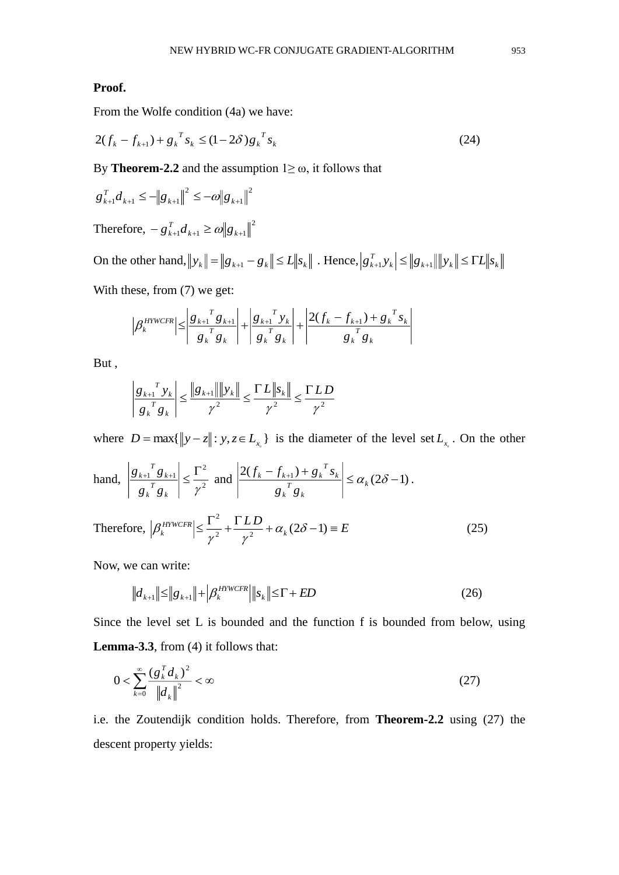### **Proof.**

From the Wolfe condition (4a) we have:

$$
2(f_k - f_{k+1}) + g_k^T s_k \le (1 - 2\delta) g_k^T s_k
$$
\n(24)

By **Theorem-2.2** and the assumption  $1 \geq \omega$ , it follows that

$$
g_{k+1}^T d_{k+1} \leq -\|g_{k+1}\|^2 \leq -\omega \|g_{k+1}\|^2
$$
  
Therefore,  $-g_{k+1}^T d_{k+1} \geq \omega \|g_{k+1}\|^2$ 

On the other hand,  $||y_k|| = ||g_{k+1} - g_k|| \le L||s_k||$ . Hence,  $||g_{k+1}^T y_k|| \le ||g_{k+1}|| ||y_k|| \le L||s_k||$  $\|g_{k+1}^T y_k\| \le \|g_{k+1}\| \|y_k\| \le \Gamma L \|s$ With these, from (7) we get:

$$
\left| \beta_{k}^{HYWCFR} \right| \leq \left| \frac{g_{k+1}^{T} g_{k+1}}{g_{k}^{T} g_{k}} \right| + \left| \frac{g_{k+1}^{T} y_{k}}{g_{k}^{T} g_{k}} \right| + \left| \frac{2(f_{k} - f_{k+1}) + g_{k}^{T} s_{k}}{g_{k}^{T} g_{k}} \right|
$$

But ,

$$
\left|\frac{g_{k+1}^T y_k}{g_k^T g_k}\right| \le \frac{\left\|g_{k+1}\right\| \|y_k\|}{\gamma^2} \le \frac{\Gamma L \|s_k\|}{\gamma^2} \le \frac{\Gamma LD}{\gamma^2}
$$

where  $D = \max\{\Vert y - z \Vert : y, z \in L_{x_0}\}\$  is the diameter of the level set  $L_{x_0}$ . On the other

hand, 
$$
\left| \frac{g_{k+1}^T g_{k+1}}{g_k^T g_k} \right| \leq \frac{\Gamma^2}{\gamma^2} \text{ and } \left| \frac{2(f_k - f_{k+1}) + g_k^T s_k}{g_k^T g_k} \right| \leq \alpha_k (2\delta - 1).
$$
  
Therefore, 
$$
\left| \beta_k^{\text{HYWCFR}} \right| \leq \frac{\Gamma^2}{\gamma^2} + \frac{\Gamma LD}{\gamma^2} + \alpha_k (2\delta - 1) \equiv E
$$
 (25)

Now, we can write:

$$
||d_{k+1}|| \le ||g_{k+1}|| + |\beta_k^{HYWCFR}||s_k|| \le \Gamma + ED \tag{26}
$$

Since the level set L is bounded and the function f is bounded from below, using **Lemma-3.3**, from (4) it follows that:

$$
0 < \sum_{k=0}^{\infty} \frac{\left(g_k^T d_k\right)^2}{\left\|d_k\right\|^2} < \infty \tag{27}
$$

i.e. the Zoutendijk condition holds. Therefore, from **Theorem-2.2** using (27) the descent property yields: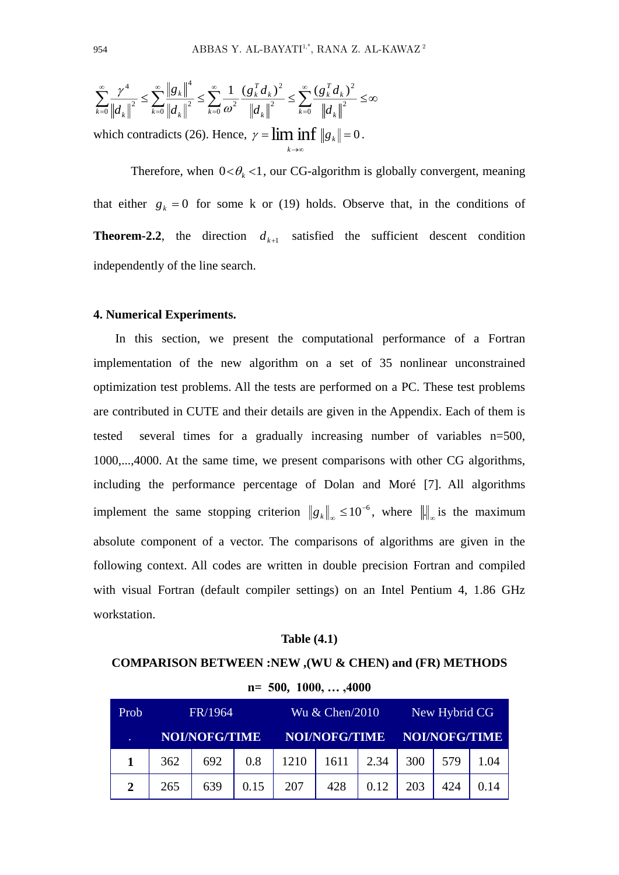$$
\sum_{k=0}^{\infty} \frac{\gamma^4}{\left\|d_k\right\|^2} \le \sum_{k=0}^{\infty} \frac{\left\|g_k\right\|^4}{\left\|d_k\right\|^2} \le \sum_{k=0}^{\infty} \frac{1}{\omega^2} \frac{\left(g_k^T d_k\right)^2}{\left\|d_k\right\|^2} \le \sum_{k=0}^{\infty} \frac{\left(g_k^T d_k\right)^2}{\left\|d_k\right\|^2} \le \infty
$$

which contradicts (26). Hence,  $\gamma = \liminf_{k} \|g_k\| = 0$ . →∞ *k*

Therefore, when  $0 < \theta_k < 1$ , our CG-algorithm is globally convergent, meaning that either  $g_k = 0$  for some k or (19) holds. Observe that, in the conditions of **Theorem-2.2**, the direction  $d_{k+1}$  satisfied the sufficient descent condition independently of the line search.

#### **4. Numerical Experiments.**

In this section, we present the computational performance of a Fortran implementation of the new algorithm on a set of 35 nonlinear unconstrained optimization test problems. All the tests are performed on a PC. These test problems are contributed in CUTE and their details are given in the Appendix. Each of them is tested several times for a gradually increasing number of variables n=500, 1000,...,4000. At the same time, we present comparisons with other CG algorithms, including the performance percentage of Dolan and Moré [7]. All algorithms implement the same stopping criterion  $||g_k||_{\infty} \leq 10^{-6}$ , where  $||\cdot||_{\infty}$  is the maximum absolute component of a vector. The comparisons of algorithms are given in the following context. All codes are written in double precision Fortran and compiled with visual Fortran (default compiler settings) on an Intel Pentium 4, 1.86 GHz workstation.

#### **Table (4.1)**

#### **COMPARISON BETWEEN :NEW ,(WU & CHEN) and (FR) METHODS**

**n= 500, 0100, … ,4000**

| Prob.        | FR/1964 |                      |      | Wu $&$ Chen/2010 |                      |      | New Hybrid CG |                      |      |
|--------------|---------|----------------------|------|------------------|----------------------|------|---------------|----------------------|------|
| $\bullet$    |         | <b>NOI/NOFG/TIME</b> |      |                  | <b>NOI/NOFG/TIME</b> |      |               | <b>NOI/NOFG/TIME</b> |      |
|              | 362     | 692                  | 0.8  | 1210             | 1611                 | 2.34 | 300           | 579                  | 1.04 |
| $\mathbf{2}$ | 265     | 639                  | 0.15 | 207              | 428                  | 0.12 | 203           | 424                  | 0.14 |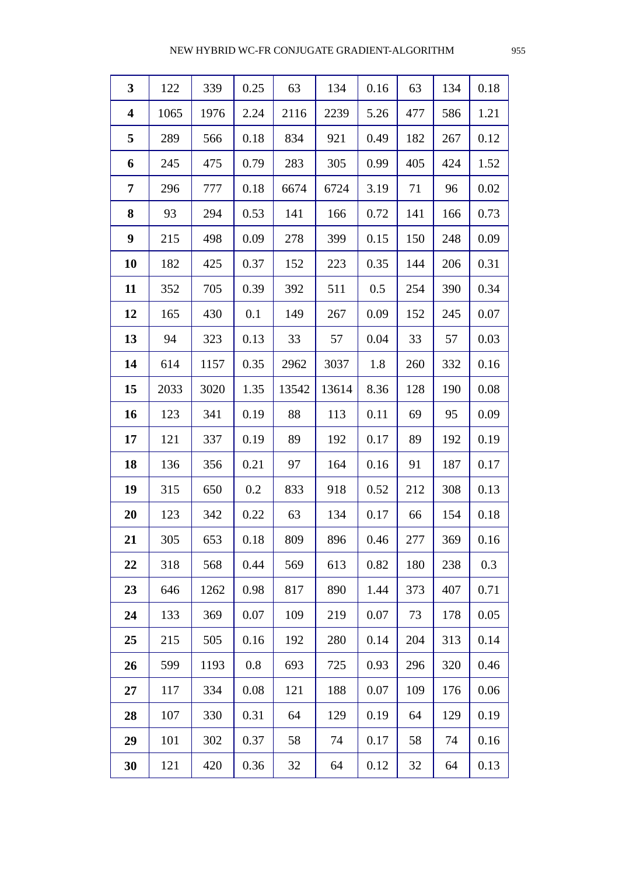| $\overline{\mathbf{3}}$ | 122  | 339  | 0.25 | 63    | 134   | 0.16 | 63  | 134 | 0.18 |
|-------------------------|------|------|------|-------|-------|------|-----|-----|------|
| $\overline{\mathbf{4}}$ | 1065 | 1976 | 2.24 | 2116  | 2239  | 5.26 | 477 | 586 | 1.21 |
| 5                       | 289  | 566  | 0.18 | 834   | 921   | 0.49 | 182 | 267 | 0.12 |
| 6                       | 245  | 475  | 0.79 | 283   | 305   | 0.99 | 405 | 424 | 1.52 |
| $\overline{7}$          | 296  | 777  | 0.18 | 6674  | 6724  | 3.19 | 71  | 96  | 0.02 |
| 8                       | 93   | 294  | 0.53 | 141   | 166   | 0.72 | 141 | 166 | 0.73 |
| 9                       | 215  | 498  | 0.09 | 278   | 399   | 0.15 | 150 | 248 | 0.09 |
| 10                      | 182  | 425  | 0.37 | 152   | 223   | 0.35 | 144 | 206 | 0.31 |
| 11                      | 352  | 705  | 0.39 | 392   | 511   | 0.5  | 254 | 390 | 0.34 |
| 12                      | 165  | 430  | 0.1  | 149   | 267   | 0.09 | 152 | 245 | 0.07 |
| 13                      | 94   | 323  | 0.13 | 33    | 57    | 0.04 | 33  | 57  | 0.03 |
| 14                      | 614  | 1157 | 0.35 | 2962  | 3037  | 1.8  | 260 | 332 | 0.16 |
| 15                      | 2033 | 3020 | 1.35 | 13542 | 13614 | 8.36 | 128 | 190 | 0.08 |
| 16                      | 123  | 341  | 0.19 | 88    | 113   | 0.11 | 69  | 95  | 0.09 |
| 17                      | 121  | 337  | 0.19 | 89    | 192   | 0.17 | 89  | 192 | 0.19 |
| 18                      | 136  | 356  | 0.21 | 97    | 164   | 0.16 | 91  | 187 | 0.17 |
| 19                      | 315  | 650  | 0.2  | 833   | 918   | 0.52 | 212 | 308 | 0.13 |
| 20                      | 123  | 342  | 0.22 | 63    | 134   | 0.17 | 66  | 154 | 0.18 |
| 21                      | 305  | 653  | 0.18 | 809   | 896   | 0.46 | 277 | 369 | 0.16 |
| 22                      | 318  | 568  | 0.44 | 569   | 613   | 0.82 | 180 | 238 | 0.3  |
| 23                      | 646  | 1262 | 0.98 | 817   | 890   | 1.44 | 373 | 407 | 0.71 |
| 24                      | 133  | 369  | 0.07 | 109   | 219   | 0.07 | 73  | 178 | 0.05 |
| 25                      | 215  | 505  | 0.16 | 192   | 280   | 0.14 | 204 | 313 | 0.14 |
| 26                      | 599  | 1193 | 0.8  | 693   | 725   | 0.93 | 296 | 320 | 0.46 |
| 27                      | 117  | 334  | 0.08 | 121   | 188   | 0.07 | 109 | 176 | 0.06 |
| 28                      | 107  | 330  | 0.31 | 64    | 129   | 0.19 | 64  | 129 | 0.19 |
| 29                      | 101  | 302  | 0.37 | 58    | 74    | 0.17 | 58  | 74  | 0.16 |
| 30                      | 121  | 420  | 0.36 | 32    | 64    | 0.12 | 32  | 64  | 0.13 |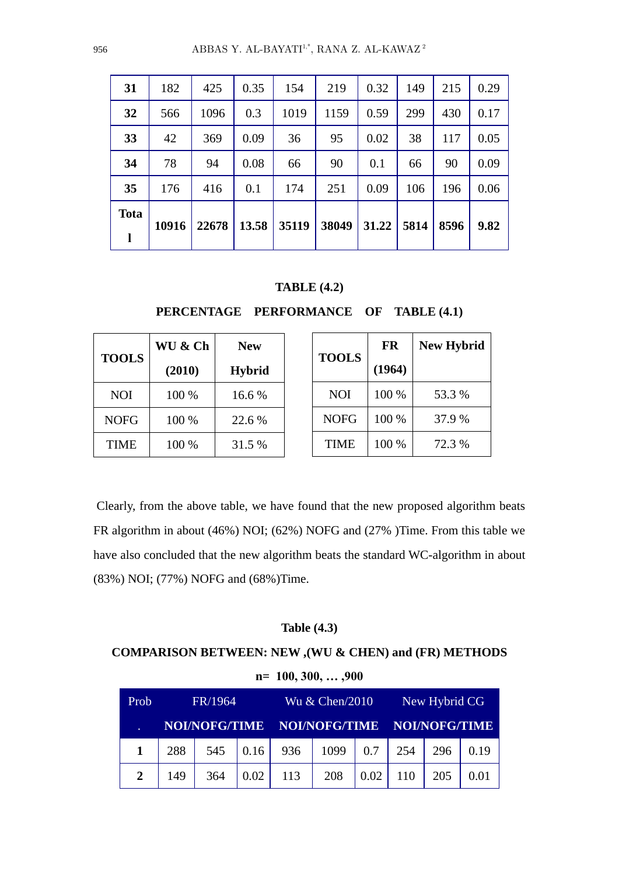| 31          | 182   | 425   | 0.35  | 154   | 219   | 0.32  | 149  | 215  | 0.29 |
|-------------|-------|-------|-------|-------|-------|-------|------|------|------|
| 32          | 566   | 1096  | 0.3   | 1019  | 1159  | 0.59  | 299  | 430  | 0.17 |
| 33          | 42    | 369   | 0.09  | 36    | 95    | 0.02  | 38   | 117  | 0.05 |
| 34          | 78    | 94    | 0.08  | 66    | 90    | 0.1   | 66   | 90   | 0.09 |
| 35          | 176   | 416   | 0.1   | 174   | 251   | 0.09  | 106  | 196  | 0.06 |
| <b>Tota</b> | 10916 |       |       | 35119 | 38049 |       |      | 8596 |      |
|             |       | 22678 | 13.58 |       |       | 31.22 | 5814 |      | 9.82 |

#### **TABLE (4.2)**

**PERCENTAGE PERFORMANCE OF TABLE (4.1)**

| <b>TOOLS</b> | WU & Ch | <b>New</b>    |
|--------------|---------|---------------|
|              | (2010)  | <b>Hybrid</b> |
| <b>NOI</b>   | 100 %   | 16.6 %        |
| <b>NOFG</b>  | 100 %   | 22.6 %        |
| <b>TIME</b>  | 100 %   | 31.5 %        |

| <b>TOOLS</b> | FR     | <b>New Hybrid</b> |
|--------------|--------|-------------------|
|              | (1964) |                   |
| <b>NOI</b>   | 100 %  | 53.3 %            |
| <b>NOFG</b>  | 100 %  | 37.9 %            |
| TIME         | 100 %  | 72.3 %            |

Clearly, from the above table, we have found that the new proposed algorithm beats FR algorithm in about (46%) NOI; (62%) NOFG and (27% )Time. From this table we have also concluded that the new algorithm beats the standard WC-algorithm in about (83%) NOI; (77%) NOFG and (68%)Time.

#### **Table (4.3)**

### **COMPARISON BETWEEN: NEW ,(WU & CHEN) and (FR) METHODS**

**n= 000, 300, … ,900**

| Prob | FR/1964 |                      |                      |                             | Wu $&$ Chen/2010 |                  | New Hybrid CG |     |      |  |
|------|---------|----------------------|----------------------|-----------------------------|------------------|------------------|---------------|-----|------|--|
|      |         | <b>NOI/NOFG/TIME</b> |                      | NOI/NOFG/TIME NOI/NOFG/TIME |                  |                  |               |     |      |  |
|      | 288     |                      | $545 \mid 0.16 \mid$ | 936                         | $1099$ 0.7       |                  | 254           | 296 | 0.19 |  |
|      | 149     | 364                  | 0.02                 | 113                         | 208              | $\mid 0.02 \mid$ | 110           | 205 | 0.01 |  |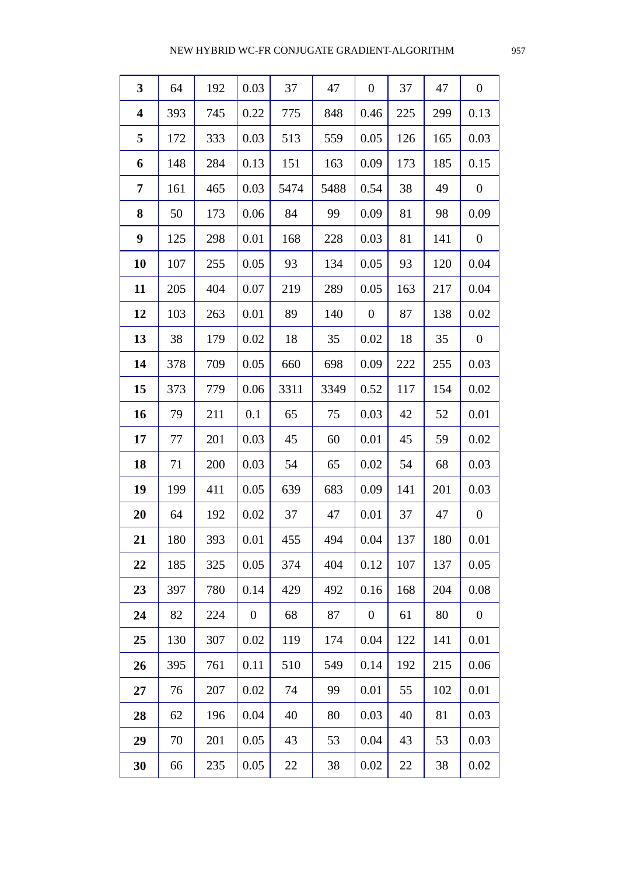| 3                       | 64  | 192 | 0.03             | 37   | 47   | $\overline{0}$   | 37  | 47  | $\boldsymbol{0}$ |
|-------------------------|-----|-----|------------------|------|------|------------------|-----|-----|------------------|
| $\overline{\mathbf{4}}$ | 393 | 745 | 0.22             | 775  | 848  | 0.46             | 225 | 299 | 0.13             |
| 5                       | 172 | 333 | 0.03             | 513  | 559  | 0.05             | 126 | 165 | 0.03             |
| 6                       | 148 | 284 | 0.13             | 151  | 163  | 0.09             | 173 | 185 | 0.15             |
| 7                       | 161 | 465 | 0.03             | 5474 | 5488 | 0.54             | 38  | 49  | $\boldsymbol{0}$ |
| 8                       | 50  | 173 | 0.06             | 84   | 99   | 0.09             | 81  | 98  | 0.09             |
| 9                       | 125 | 298 | 0.01             | 168  | 228  | 0.03             | 81  | 141 | $\boldsymbol{0}$ |
| 10                      | 107 | 255 | 0.05             | 93   | 134  | 0.05             | 93  | 120 | 0.04             |
| 11                      | 205 | 404 | 0.07             | 219  | 289  | 0.05             | 163 | 217 | 0.04             |
| 12                      | 103 | 263 | 0.01             | 89   | 140  | $\boldsymbol{0}$ | 87  | 138 | 0.02             |
| 13                      | 38  | 179 | 0.02             | 18   | 35   | 0.02             | 18  | 35  | $\boldsymbol{0}$ |
| 14                      | 378 | 709 | 0.05             | 660  | 698  | 0.09             | 222 | 255 | 0.03             |
| 15                      | 373 | 779 | 0.06             | 3311 | 3349 | 0.52             | 117 | 154 | 0.02             |
| 16                      | 79  | 211 | 0.1              | 65   | 75   | 0.03             | 42  | 52  | 0.01             |
| 17                      | 77  | 201 | 0.03             | 45   | 60   | 0.01             | 45  | 59  | 0.02             |
| 18                      | 71  | 200 | 0.03             | 54   | 65   | 0.02             | 54  | 68  | 0.03             |
| 19                      | 199 | 411 | 0.05             | 639  | 683  | 0.09             | 141 | 201 | 0.03             |
| 20                      | 64  | 192 | 0.02             | 37   | 47   | 0.01             | 37  | 47  | $\overline{0}$   |
| 21                      | 180 | 393 | 0.01             | 455  | 494  | 0.04             | 137 | 180 | 0.01             |
| 22                      | 185 | 325 | 0.05             | 374  | 404  | 0.12             | 107 | 137 | 0.05             |
| 23                      | 397 | 780 | 0.14             | 429  | 492  | 0.16             | 168 | 204 | 0.08             |
| 24                      | 82  | 224 | $\boldsymbol{0}$ | 68   | 87   | $\boldsymbol{0}$ | 61  | 80  | $\boldsymbol{0}$ |
| 25                      | 130 | 307 | 0.02             | 119  | 174  | 0.04             | 122 | 141 | 0.01             |
| 26                      | 395 | 761 | 0.11             | 510  | 549  | 0.14             | 192 | 215 | 0.06             |
| 27                      | 76  | 207 | 0.02             | 74   | 99   | 0.01             | 55  | 102 | 0.01             |
| 28                      | 62  | 196 | 0.04             | 40   | 80   | 0.03             | 40  | 81  | 0.03             |
| 29                      | 70  | 201 | 0.05             | 43   | 53   | 0.04             | 43  | 53  | 0.03             |
| 30                      | 66  | 235 | 0.05             | 22   | 38   | 0.02             | 22  | 38  | 0.02             |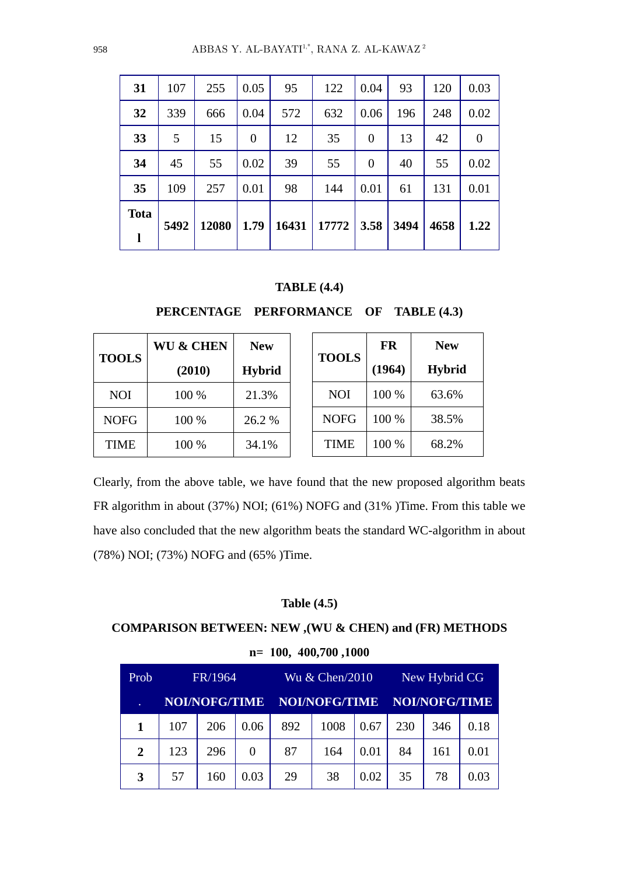| 31          | 107  | 255   | 0.05           | 95    | 122   | 0.04             | 93   | 120  | 0.03             |
|-------------|------|-------|----------------|-------|-------|------------------|------|------|------------------|
| 32          | 339  | 666   | 0.04           | 572   | 632   | 0.06             | 196  | 248  | 0.02             |
| 33          | 5    | 15    | $\overline{0}$ | 12    | 35    | $\theta$         | 13   | 42   | $\boldsymbol{0}$ |
| 34          | 45   | 55    | 0.02           | 39    | 55    | $\boldsymbol{0}$ | 40   | 55   | 0.02             |
| 35          | 109  | 257   | 0.01           | 98    | 144   | 0.01             | 61   | 131  | 0.01             |
| <b>Tota</b> | 5492 | 12080 | 1.79           | 16431 | 17772 | 3.58             | 3494 | 4658 | 1.22             |
| ı           |      |       |                |       |       |                  |      |      |                  |

#### **TABLE (4.4)**

| <b>TOOLS</b> | <b>WU &amp; CHEN</b> | <b>New</b>    |  |
|--------------|----------------------|---------------|--|
|              | (2010)               | <b>Hybrid</b> |  |
| <b>NOI</b>   | 100 %                | 21.3%         |  |
| <b>NOFG</b>  | 100 %                | 26.2 %        |  |
| <b>TIME</b>  | 100 %                | 34.1%         |  |

## **PERCENTAGE PERFORMANCE OF TABLE (4.3)**

| <b>TOOLS</b> | FR     | <b>New</b>    |  |  |
|--------------|--------|---------------|--|--|
|              | (1964) | <b>Hybrid</b> |  |  |
| <b>NOI</b>   | 100 %  | 63.6%         |  |  |
| <b>NOFG</b>  | 100 %  | 38.5%         |  |  |
| <b>TIME</b>  | 100 %  | 68.2%         |  |  |

Clearly, from the above table, we have found that the new proposed algorithm beats FR algorithm in about (37%) NOI; (61%) NOFG and (31% )Time. From this table we have also concluded that the new algorithm beats the standard WC-algorithm in about (78%) NOI; (73%) NOFG and (65% )Time.

#### **Table (4.5)**

# **COMPARISON BETWEEN: NEW ,(WU & CHEN) and (FR) METHODS**

**n**= 100, 400,700,1000

| Prob           | FR/1964       |     |      |                      | Wu $&$ Chen/2010 |      | New Hybrid CG        |     |      |
|----------------|---------------|-----|------|----------------------|------------------|------|----------------------|-----|------|
| $\sim$         | NOI/NOFG/TIME |     |      | <b>NOI/NOFG/TIME</b> |                  |      | <b>NOI/NOFG/TIME</b> |     |      |
| 1              | 107           | 206 | 0.06 | 892                  | 1008             | 0.67 | 230                  | 346 | 0.18 |
| $\overline{2}$ | 123           | 296 | 0    | 87                   | 164              | 0.01 | 84                   | 161 | 0.01 |
| 3              | 57            | 160 | 0.03 | 29                   | 38               | 0.02 | 35                   | 78  | 0.03 |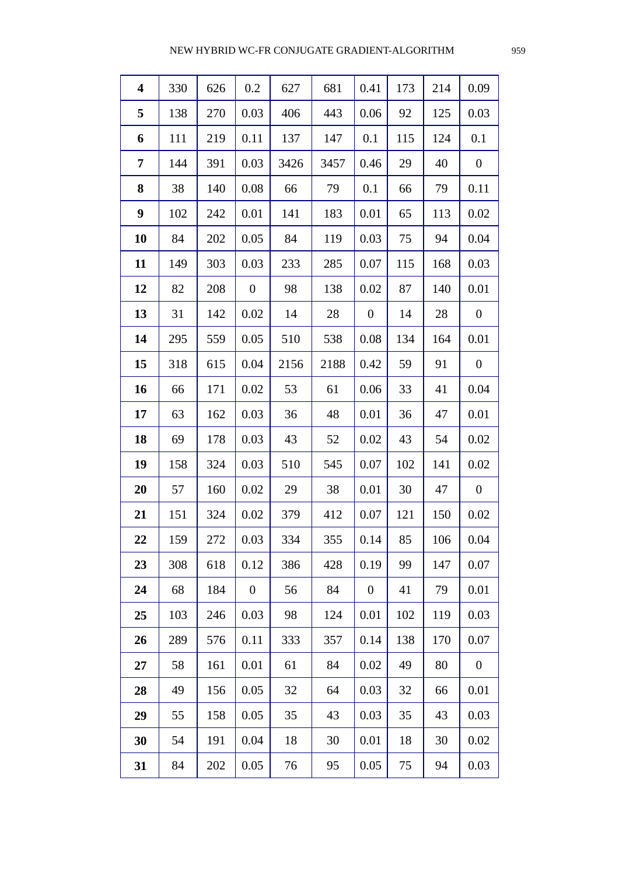| $\overline{\mathbf{4}}$ | 330 | 626 | 0.2              | 627  | 681  | 0.41             | 173 | 214 | 0.09             |
|-------------------------|-----|-----|------------------|------|------|------------------|-----|-----|------------------|
| 5                       | 138 | 270 | 0.03             | 406  | 443  | 0.06             | 92  | 125 | 0.03             |
| 6                       | 111 | 219 | 0.11             | 137  | 147  | 0.1              | 115 | 124 | 0.1              |
| 7                       | 144 | 391 | 0.03             | 3426 | 3457 | 0.46             | 29  | 40  | $\boldsymbol{0}$ |
| 8                       | 38  | 140 | 0.08             | 66   | 79   | 0.1              | 66  | 79  | 0.11             |
| 9                       | 102 | 242 | 0.01             | 141  | 183  | 0.01             | 65  | 113 | 0.02             |
| 10                      | 84  | 202 | 0.05             | 84   | 119  | 0.03             | 75  | 94  | 0.04             |
| 11                      | 149 | 303 | 0.03             | 233  | 285  | 0.07             | 115 | 168 | 0.03             |
| 12                      | 82  | 208 | $\boldsymbol{0}$ | 98   | 138  | 0.02             | 87  | 140 | 0.01             |
| 13                      | 31  | 142 | 0.02             | 14   | 28   | $\boldsymbol{0}$ | 14  | 28  | $\boldsymbol{0}$ |
| 14                      | 295 | 559 | 0.05             | 510  | 538  | 0.08             | 134 | 164 | 0.01             |
| 15                      | 318 | 615 | 0.04             | 2156 | 2188 | 0.42             | 59  | 91  | $\boldsymbol{0}$ |
| 16                      | 66  | 171 | 0.02             | 53   | 61   | 0.06             | 33  | 41  | 0.04             |
| 17                      | 63  | 162 | 0.03             | 36   | 48   | 0.01             | 36  | 47  | 0.01             |
| 18                      | 69  | 178 | 0.03             | 43   | 52   | 0.02             | 43  | 54  | 0.02             |
| 19                      | 158 | 324 | 0.03             | 510  | 545  | $0.07\,$         | 102 | 141 | 0.02             |
| 20                      | 57  | 160 | 0.02             | 29   | 38   | 0.01             | 30  | 47  | $\boldsymbol{0}$ |
| 21                      | 151 | 324 | 0.02             | 379  | 412  | 0.07             | 121 | 150 | 0.02             |
| 22                      | 159 | 272 | 0.03             | 334  | 355  | 0.14             | 85  | 106 | 0.04             |
| 23                      | 308 | 618 | 0.12             | 386  | 428  | 0.19             | 99  | 147 | 0.07             |
| 24                      | 68  | 184 | $\boldsymbol{0}$ | 56   | 84   | $\boldsymbol{0}$ | 41  | 79  | 0.01             |
| 25                      | 103 | 246 | 0.03             | 98   | 124  | 0.01             | 102 | 119 | 0.03             |
| 26                      | 289 | 576 | 0.11             | 333  | 357  | 0.14             | 138 | 170 | 0.07             |
| 27                      | 58  | 161 | 0.01             | 61   | 84   | 0.02             | 49  | 80  | $\boldsymbol{0}$ |
| 28                      | 49  | 156 | 0.05             | 32   | 64   | 0.03             | 32  | 66  | 0.01             |
| 29                      | 55  | 158 | 0.05             | 35   | 43   | 0.03             | 35  | 43  | 0.03             |
| 30                      | 54  | 191 | 0.04             | 18   | 30   | 0.01             | 18  | 30  | 0.02             |
| 31                      | 84  | 202 | 0.05             | 76   | 95   | 0.05             | 75  | 94  | 0.03             |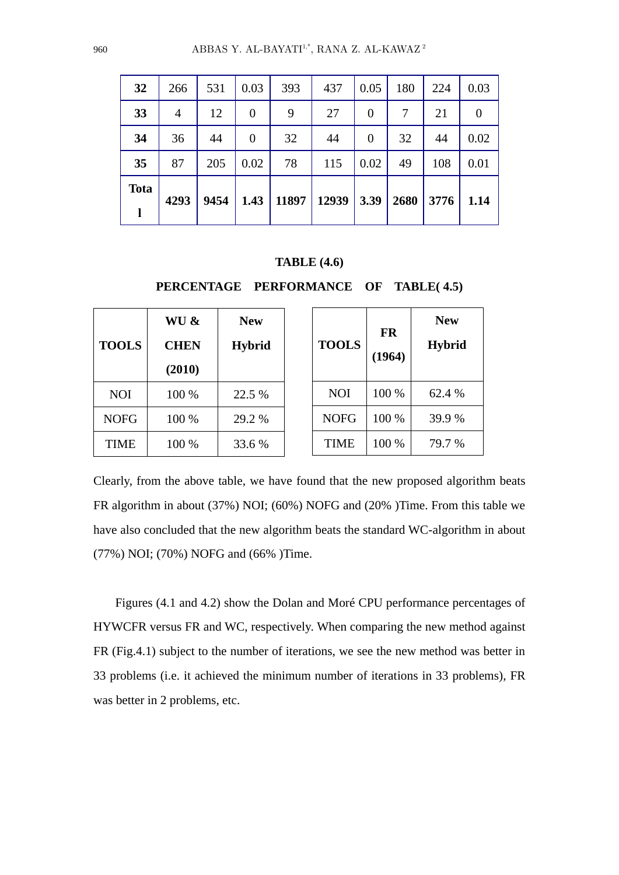| 32          | 266  | 531  | 0.03           | 393   | 437   | 0.05           | 180  | 224  | 0.03 |
|-------------|------|------|----------------|-------|-------|----------------|------|------|------|
| 33          | 4    | 12   | $\overline{0}$ | 9     | 27    | $\overline{0}$ | 7    | 21   |      |
| 34          | 36   | 44   | $\overline{0}$ | 32    | 44    | $\overline{0}$ | 32   | 44   | 0.02 |
| 35          | 87   | 205  | 0.02           | 78    | 115   | 0.02           | 49   | 108  | 0.01 |
| <b>Tota</b> | 4293 | 9454 | 1.43           | 11897 | 12939 | 3.39           | 2680 | 3776 | 1.14 |

#### **TABLE (4.6)**

**PERCENTAGE PERFORMANCE OF TABLE( 4.5)**

| <b>TOOLS</b> | WU &<br><b>CHEN</b><br>(2010) | <b>New</b><br><b>Hybrid</b> |  | <b>TOOLS</b> | <b>FR</b><br>(1964) | <b>New</b><br><b>Hybrid</b> |
|--------------|-------------------------------|-----------------------------|--|--------------|---------------------|-----------------------------|
| <b>NOI</b>   | 100 %                         | 22.5 %                      |  | <b>NOI</b>   | 100 %               | 62.4 %                      |
| <b>NOFG</b>  | 100 %                         | 29.2 %                      |  | <b>NOFG</b>  | 100 %               | 39.9 %                      |
| <b>TIME</b>  | 100 %                         | 33.6 %                      |  | <b>TIME</b>  | 100 %               | 79.7 %                      |

Clearly, from the above table, we have found that the new proposed algorithm beats FR algorithm in about (37%) NOI; (60%) NOFG and (20% )Time. From this table we have also concluded that the new algorithm beats the standard WC-algorithm in about (77%) NOI; (70%) NOFG and (66% )Time.

Figures (4.1 and 4.2) show the Dolan and Moré CPU performance percentages of HYWCFR versus FR and WC, respectively. When comparing the new method against FR (Fig.4.1) subject to the number of iterations, we see the new method was better in 33 problems (i.e. it achieved the minimum number of iterations in 33 problems), FR was better in 2 problems, etc.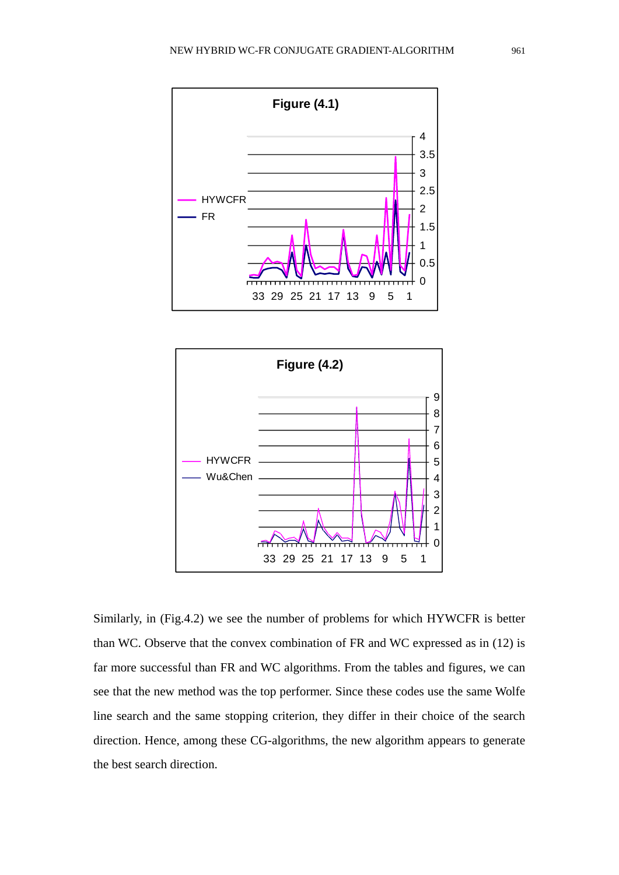



Similarly, in (Fig.4.2) we see the number of problems for which HYWCFR is better than WC. Observe that the convex combination of FR and WC expressed as in (12) is far more successful than FR and WC algorithms. From the tables and figures, we can see that the new method was the top performer. Since these codes use the same Wolfe line search and the same stopping criterion, they differ in their choice of the search direction. Hence, among these CG-algorithms, the new algorithm appears to generate the best search direction.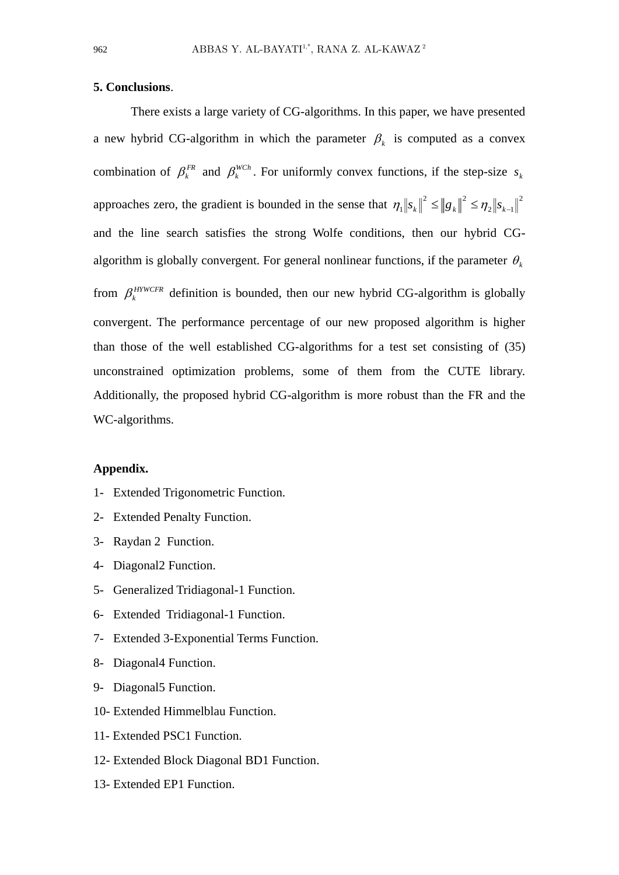#### **5. Conclusions**.

There exists a large variety of CG-algorithms. In this paper, we have presented a new hybrid CG-algorithm in which the parameter  $\beta_k$  is computed as a convex combination of  $\beta_k^{FR}$  and  $\beta_k^{WCh}$ . For uniformly convex functions, if the step-size  $s_k$ approaches zero, the gradient is bounded in the sense that  $\eta_1 \|s_k\|^2 \le \|g_k\|^2 \le \eta_2 \|s_{k-1}\|^2$ 2  $\mathbb{P}^k$   $k-1$  $\eta_1 \|s_k\|^2 \le \|g_k\|^2 \le \eta_2 \|s_k\|^2$ and the line search satisfies the strong Wolfe conditions, then our hybrid CGalgorithm is globally convergent. For general nonlinear functions, if the parameter  $\theta_k$ from  $\beta_k^{HIWCFR}$  definition is bounded, then our new hybrid CG-algorithm is globally convergent. The performance percentage of our new proposed algorithm is higher than those of the well established CG-algorithms for a test set consisting of (35) unconstrained optimization problems, some of them from the CUTE library. Additionally, the proposed hybrid CG-algorithm is more robust than the FR and the WC-algorithms.

#### **Appendix.**

- 1- Extended Trigonometric Function.
- 2- Extended Penalty Function.
- 3- Raydan 2 Function.
- 4- Diagonal2 Function.
- 5- Generalized Tridiagonal-1 Function.
- 6- Extended Tridiagonal-1 Function.
- 7- Extended 3-Exponential Terms Function.
- 8- Diagonal4 Function.
- 9- Diagonal5 Function.
- 10- Extended Himmelblau Function.
- 11- Extended PSC1 Function.
- 12- Extended Block Diagonal BD1 Function.
- 13- Extended EP1 Function.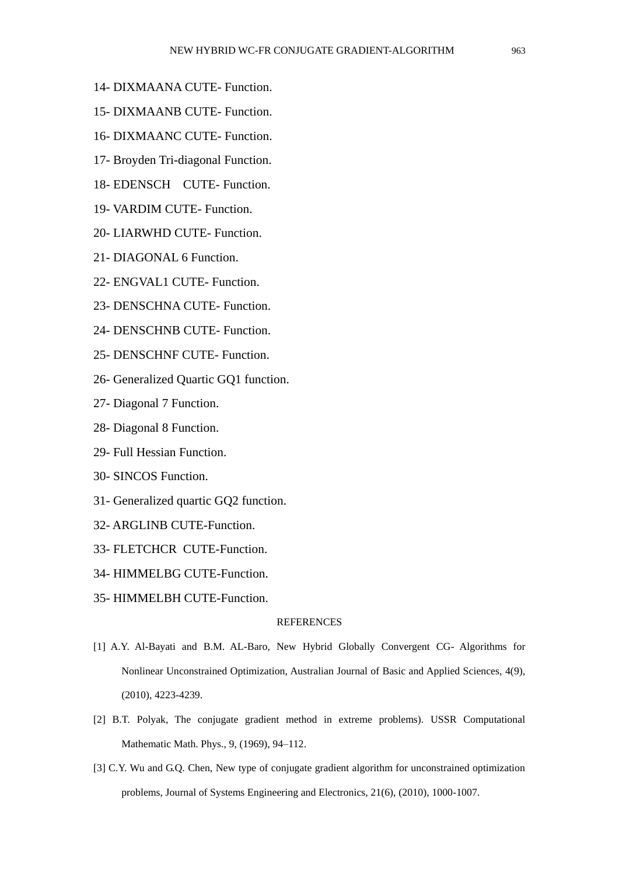- 14- DIXMAANA CUTE- Function.
- 15- DIXMAANB CUTE- Function.
- 16- DIXMAANC CUTE- Function.
- 17- Broyden Tri-diagonal Function.
- 18- EDENSCH CUTE- Function.
- 19- VARDIM CUTE- Function.
- 20- LIARWHD CUTE- Function.
- 21- DIAGONAL 6 Function.
- 22- ENGVAL1 CUTE- Function.
- 23- DENSCHNA CUTE- Function.
- 24- DENSCHNB CUTE- Function.
- 25- DENSCHNF CUTE- Function.
- 26- Generalized Quartic GQ1 function.
- 27- Diagonal 7 Function.
- 28- Diagonal 8 Function.
- 29- Full Hessian Function.
- 30- SINCOS Function.
- 31- Generalized quartic GQ2 function.
- 32- ARGLINB CUTE-Function.
- 33- FLETCHCR CUTE-Function.
- 34- HIMMELBG CUTE-Function.
- 35- HIMMELBH CUTE-Function.

#### **REFERENCES**

- [1] A.Y. Al-Bayati and B.M. AL-Baro, New Hybrid Globally Convergent CG- Algorithms for Nonlinear Unconstrained Optimization, Australian Journal of Basic and Applied Sciences, 4(9), (2010), 4223-4239.
- [2] B.T. Polyak, The conjugate gradient method in extreme problems). USSR Computational Mathematic Math. Phys., 9, (1969), 94–112.
- [3] C.Y. Wu and G.Q. Chen, New type of conjugate gradient algorithm for unconstrained optimization problems, Journal of Systems Engineering and Electronics, 21(6), (2010), 1000-1007.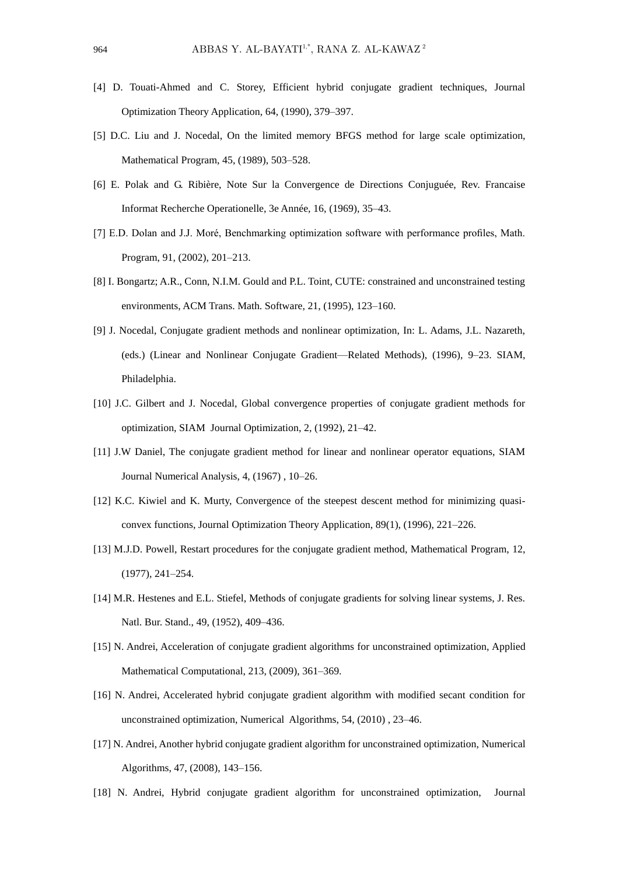- [4] D. Touati-Ahmed and C. Storey, Efficient hybrid conjugate gradient techniques, Journal Optimization Theory Application, 64, (1990), 379–397.
- [5] D.C. Liu and J. Nocedal, On the limited memory BFGS method for large scale optimization, Mathematical Program, 45, (1989), 503–528.
- [6] E. Polak and G. Ribière, Note Sur la Convergence de Directions Conjuguée, Rev. Francaise Informat Recherche Operationelle, 3e Année, 16, (1969), 35–43.
- [7] E.D. Dolan and J.J. Moré, Benchmarking optimization software with performance profiles, Math. Program, 91, (2002), 201–213.
- [8] I. Bongartz; A.R., Conn, N.I.M. Gould and P.L. Toint, CUTE: constrained and unconstrained testing environments, ACM Trans. Math. Software, 21, (1995), 123–160.
- [9] J. Nocedal, Conjugate gradient methods and nonlinear optimization, In: L. Adams, J.L. Nazareth, (eds.) (Linear and Nonlinear Conjugate Gradient—Related Methods), (1996), 9–23. SIAM, Philadelphia.
- [10] J.C. Gilbert and J. Nocedal, Global convergence properties of conjugate gradient methods for optimization, SIAM Journal Optimization, 2, (1992), 21–42.
- [11] J.W Daniel, The conjugate gradient method for linear and nonlinear operator equations, SIAM Journal Numerical Analysis, 4, (1967) , 10–26.
- [12] K.C. Kiwiel and K. Murty, Convergence of the steepest descent method for minimizing quasiconvex functions, Journal Optimization Theory Application, 89(1), (1996), 221–226.
- [13] M.J.D. Powell, Restart procedures for the conjugate gradient method, Mathematical Program, 12, (1977), 241–254.
- [14] M.R. Hestenes and E.L. Stiefel, Methods of conjugate gradients for solving linear systems, J. Res. Natl. Bur. Stand., 49, (1952), 409–436.
- [15] N. Andrei, Acceleration of conjugate gradient algorithms for unconstrained optimization, Applied Mathematical Computational, 213, (2009), 361–369.
- [16] N. Andrei, Accelerated hybrid conjugate gradient algorithm with modified secant condition for unconstrained optimization, Numerical Algorithms, 54, (2010) , 23–46.
- [17] N. Andrei, Another hybrid conjugate gradient algorithm for unconstrained optimization, Numerical Algorithms, 47, (2008), 143–156.
- [18] N. Andrei, Hybrid conjugate gradient algorithm for unconstrained optimization, Journal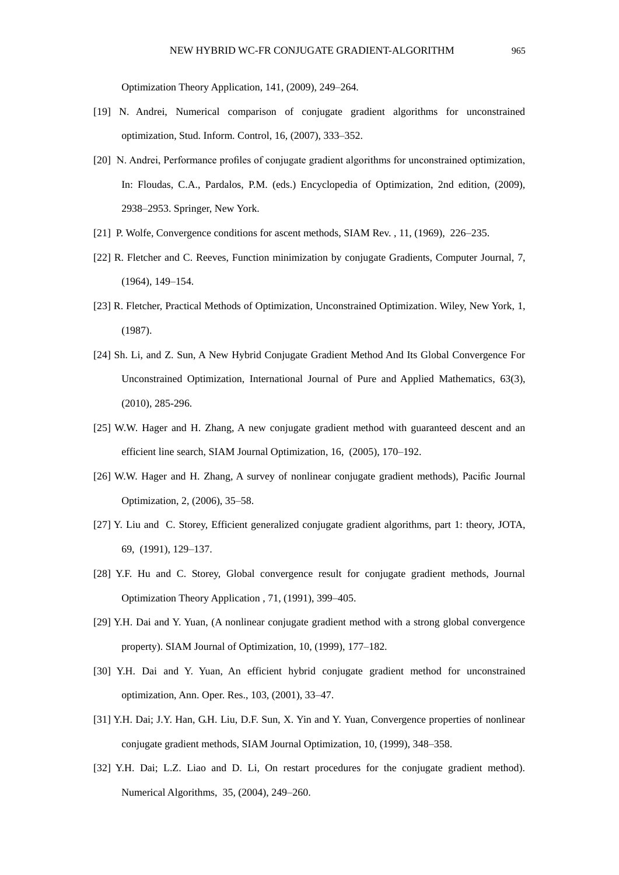Optimization Theory Application, 141, (2009), 249–264.

- [19] N. Andrei, Numerical comparison of conjugate gradient algorithms for unconstrained optimization, Stud. Inform. Control, 16, (2007), 333–352.
- [20] N. Andrei, Performance profiles of conjugate gradient algorithms for unconstrained optimization, In: Floudas, C.A., Pardalos, P.M. (eds.) Encyclopedia of Optimization, 2nd edition, (2009), 2938–2953. Springer, New York.
- [21] P. Wolfe, Convergence conditions for ascent methods, SIAM Rev. , 11, (1969), 226–235.
- [22] R. Fletcher and C. Reeves, Function minimization by conjugate Gradients, Computer Journal, 7, (1964), 149–154.
- [23] R. Fletcher, Practical Methods of Optimization, Unconstrained Optimization. Wiley, New York, 1, (1987).
- [24] Sh. Li, and Z. Sun, A New Hybrid Conjugate Gradient Method And Its Global Convergence For Unconstrained Optimization, International Journal of Pure and Applied Mathematics, 63(3), (2010), 285-296.
- [25] W.W. Hager and H. Zhang, A new conjugate gradient method with guaranteed descent and an efficient line search, SIAM Journal Optimization, 16, (2005), 170–192.
- [26] W.W. Hager and H. Zhang, A survey of nonlinear conjugate gradient methods), Pacific Journal Optimization, 2, (2006), 35–58.
- [27] Y. Liu and C. Storey, Efficient generalized conjugate gradient algorithms, part 1: theory, JOTA, 69, (1991), 129–137.
- [28] Y.F. Hu and C. Storey, Global convergence result for conjugate gradient methods, Journal Optimization Theory Application , 71, (1991), 399–405.
- [29] Y.H. Dai and Y. Yuan, (A nonlinear conjugate gradient method with a strong global convergence property). SIAM Journal of Optimization, 10, (1999), 177–182.
- [30] Y.H. Dai and Y. Yuan, An efficient hybrid conjugate gradient method for unconstrained optimization, Ann. Oper. Res., 103, (2001), 33–47.
- [31] Y.H. Dai; J.Y. Han, G.H. Liu, D.F. Sun, X. Yin and Y. Yuan, Convergence properties of nonlinear conjugate gradient methods, SIAM Journal Optimization, 10, (1999), 348–358.
- [32] Y.H. Dai; L.Z. Liao and D. Li, On restart procedures for the conjugate gradient method). Numerical Algorithms, 35, (2004), 249–260.